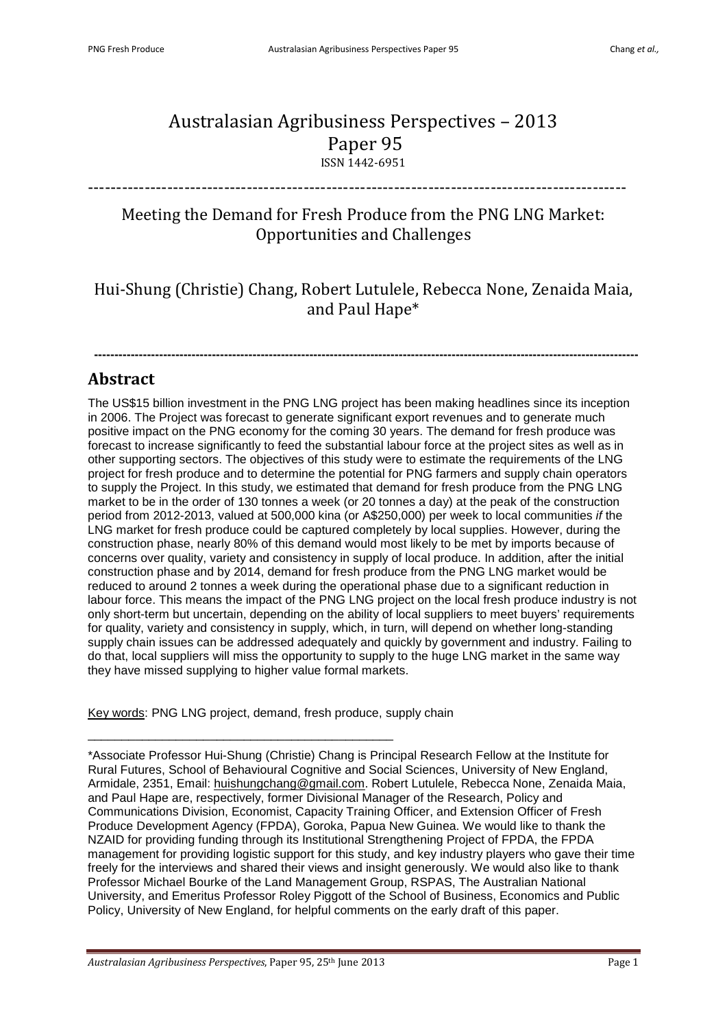### Australasian Agribusiness Perspectives – 2013 Paper 95 ISSN 1442-6951

-----------------------------------------------------------------------------------------------

## Meeting the Demand for Fresh Produce from the PNG LNG Market: Opportunities and Challenges

## Hui-Shung (Christie) Chang, Robert Lutulele, Rebecca None, Zenaida Maia, and Paul Hape\*

**--------------------------------------------------------------------------------------------------------------------------------------**

### **Abstract**

The US\$15 billion investment in the PNG LNG project has been making headlines since its inception in 2006. The Project was forecast to generate significant export revenues and to generate much positive impact on the PNG economy for the coming 30 years. The demand for fresh produce was forecast to increase significantly to feed the substantial labour force at the project sites as well as in other supporting sectors. The objectives of this study were to estimate the requirements of the LNG project for fresh produce and to determine the potential for PNG farmers and supply chain operators to supply the Project. In this study, we estimated that demand for fresh produce from the PNG LNG market to be in the order of 130 tonnes a week (or 20 tonnes a day) at the peak of the construction period from 2012-2013, valued at 500,000 kina (or A\$250,000) per week to local communities *if* the LNG market for fresh produce could be captured completely by local supplies. However, during the construction phase, nearly 80% of this demand would most likely to be met by imports because of concerns over quality, variety and consistency in supply of local produce. In addition, after the initial construction phase and by 2014, demand for fresh produce from the PNG LNG market would be reduced to around 2 tonnes a week during the operational phase due to a significant reduction in labour force. This means the impact of the PNG LNG project on the local fresh produce industry is not only short-term but uncertain, depending on the ability of local suppliers to meet buyers' requirements for quality, variety and consistency in supply, which, in turn, will depend on whether long-standing supply chain issues can be addressed adequately and quickly by government and industry. Failing to do that, local suppliers will miss the opportunity to supply to the huge LNG market in the same way they have missed supplying to higher value formal markets.

Key words: PNG LNG project, demand, fresh produce, supply chain

\_\_\_\_\_\_\_\_\_\_\_\_\_\_\_\_\_\_\_\_\_\_\_\_\_\_\_\_\_\_\_\_\_\_\_\_\_\_\_\_\_\_\_\_\_

<span id="page-0-0"></span>\*Associate Professor Hui-Shung (Christie) Chang is Principal Research Fellow at the Institute for Rural Futures, School of Behavioural Cognitive and Social Sciences, University of New England, Armidale, 2351, Email: [huishungchang@gmail.com.](mailto:huishungchang@gmail.com) Robert Lutulele, Rebecca None, Zenaida Maia, and Paul Hape are, respectively, former Divisional Manager of the Research, Policy and Communications Division, Economist, Capacity Training Officer, and Extension Officer of Fresh Produce Development Agency (FPDA), Goroka, Papua New Guinea. We would like to thank the NZAID for providing funding through its Institutional Strengthening Project of FPDA, the FPDA management for providing logistic support for this study, and key industry players who gave their time freely for the interviews and shared their views and insight generously. We would also like to thank Professor Michael Bourke of the Land Management Group, RSPAS, The Australian National University, and Emeritus Professor Roley Piggott of the School of Business, Economics and Public Policy, University of New England, for helpful comments on the early draft of this paper.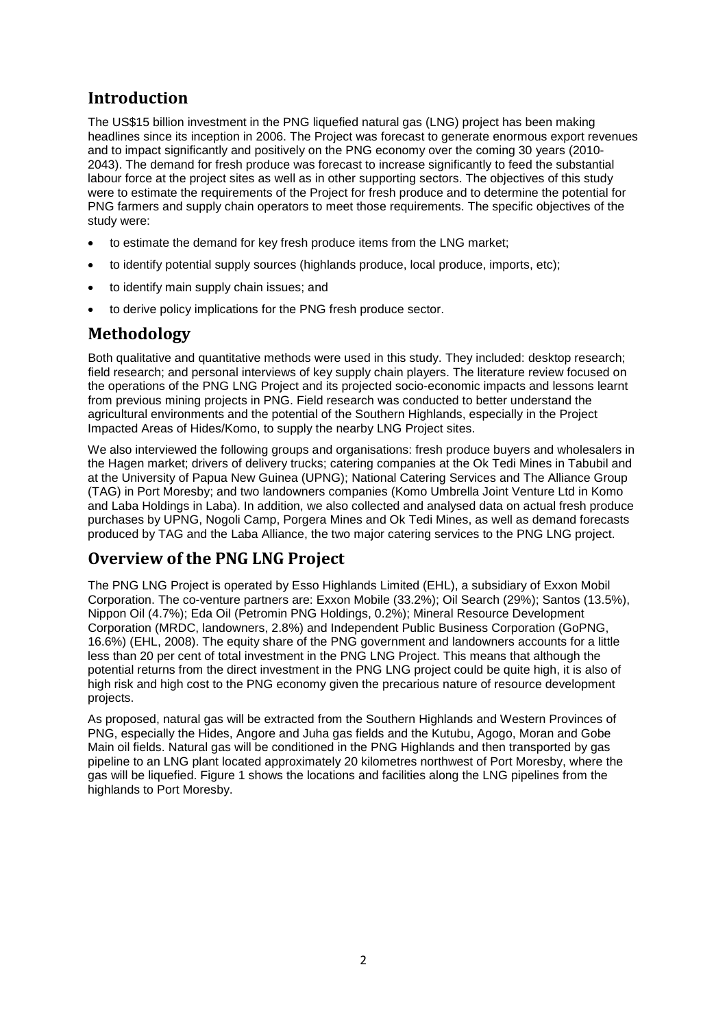# **Introduction**

The US\$15 billion investment in the PNG liquefied natural gas (LNG) project has been making headlines since its inception in 2006. The Project was forecast to generate enormous export revenues and to impact significantly and positively on the PNG economy over the coming 30 years (2010- 2043). The demand for fresh produce was forecast to increase significantly to feed the substantial labour force at the project sites as well as in other supporting sectors. The objectives of this study were to estimate the requirements of the Project for fresh produce and to determine the potential for PNG farmers and supply chain operators to meet those requirements. The specific objectives of the study were:

- to estimate the demand for key fresh produce items from the LNG market;
- to identify potential supply sources (highlands produce, local produce, imports, etc);
- to identify main supply chain issues; and
- to derive policy implications for the PNG fresh produce sector.

## **Methodology**

Both qualitative and quantitative methods were used in this study. They included: desktop research; field research; and personal interviews of key supply chain players. The literature review focused on the operations of the PNG LNG Project and its projected socio-economic impacts and lessons learnt from previous mining projects in PNG. Field research was conducted to better understand the agricultural environments and the potential of the Southern Highlands, especially in the Project Impacted Areas of Hides/Komo, to supply the nearby LNG Project sites.

We also interviewed the following groups and organisations: fresh produce buyers and wholesalers in the Hagen market; drivers of delivery trucks; catering companies at the Ok Tedi Mines in Tabubil and at the University of Papua New Guinea (UPNG); National Catering Services and The Alliance Group (TAG) in Port Moresby; and two landowners companies (Komo Umbrella Joint Venture Ltd in Komo and Laba Holdings in Laba). In addition, we also collected and analysed data on actual fresh produce purchases by UPNG, Nogoli Camp, Porgera Mines and Ok Tedi Mines, as well as demand forecasts produced by TAG and the Laba Alliance, the two major catering services to the PNG LNG project.

## **Overview of the PNG LNG Project**

The PNG LNG Project is operated by Esso Highlands Limited (EHL), a subsidiary of Exxon Mobil Corporation. The co-venture partners are: Exxon Mobile (33.2%); Oil Search (29%); Santos (13.5%), Nippon Oil (4.7%); Eda Oil (Petromin PNG Holdings, 0.2%); Mineral Resource Development Corporation (MRDC, landowners, 2.8%) and Independent Public Business Corporation (GoPNG, 16.6%) (EHL, 2008). The equity share of the PNG government and landowners accounts for a little less than 20 per cent of total investment in the PNG LNG Project. This means that although the potential returns from the direct investment in the PNG LNG project could be quite high, it is also of high risk and high cost to the PNG economy given the precarious nature of resource development projects.

As proposed, natural gas will be extracted from the Southern Highlands and Western Provinces of PNG, especially the Hides, Angore and Juha gas fields and the Kutubu, Agogo, Moran and Gobe Main oil fields. Natural gas will be conditioned in the PNG Highlands and then transported by gas pipeline to an LNG plant located approximately 20 kilometres northwest of Port Moresby, where the gas will be liquefied. Figure 1 shows the locations and facilities along the LNG pipelines from the highlands to Port Moresby.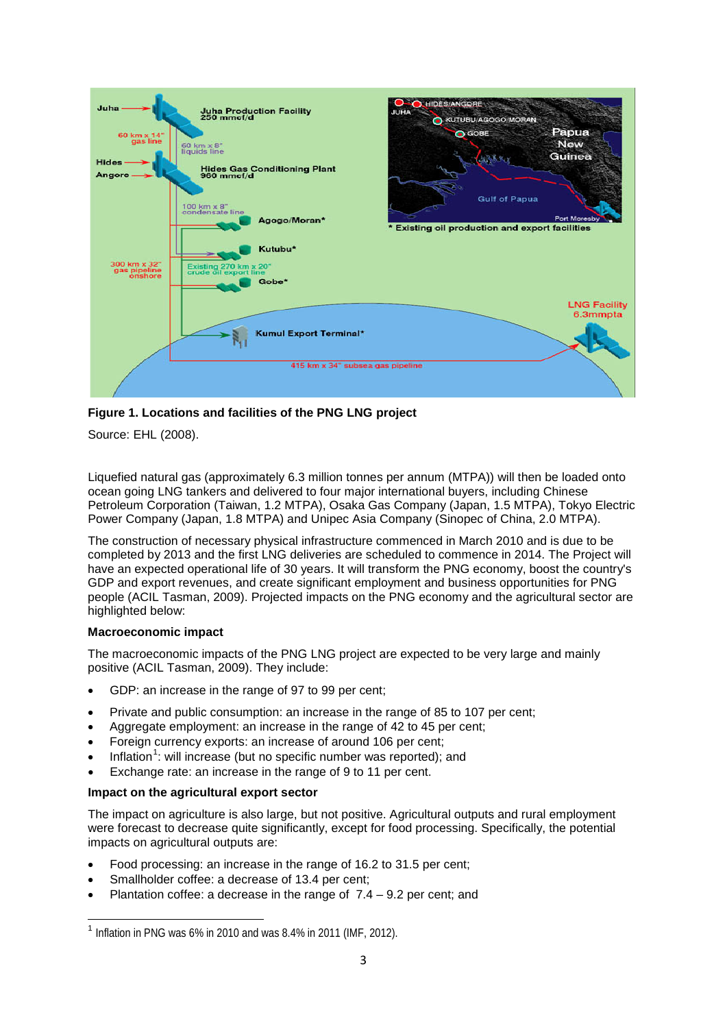

### **Figure 1. Locations and facilities of the PNG LNG project**

Source: EHL (2008).

Liquefied natural gas (approximately 6.3 million tonnes per annum (MTPA)) will then be loaded onto ocean going LNG tankers and delivered to four major international buyers, including Chinese Petroleum Corporation (Taiwan, 1.2 MTPA), Osaka Gas Company (Japan, 1.5 MTPA), Tokyo Electric Power Company (Japan, 1.8 MTPA) and Unipec Asia Company (Sinopec of China, 2.0 MTPA).

The construction of necessary physical infrastructure commenced in March 2010 and is due to be completed by 2013 and the first LNG deliveries are scheduled to commence in 2014. The Project will have an expected operational life of 30 years. It will transform the PNG economy, boost the country's GDP and export revenues, and create significant employment and business opportunities for PNG people (ACIL Tasman, 2009). Projected impacts on the PNG economy and the agricultural sector are highlighted below:

### **Macroeconomic impact**

The macroeconomic impacts of the PNG LNG project are expected to be very large and mainly positive (ACIL Tasman, 2009). They include:

- GDP: an increase in the range of 97 to 99 per cent;
- Private and public consumption: an increase in the range of 85 to 107 per cent;
- Aggregate employment: an increase in the range of 42 to 45 per cent;
- <span id="page-2-0"></span>• Foreign currency exports: an increase of around 106 per cent;
- $\bullet$  Inflation<sup>[1](#page-0-0)</sup>: will increase (but no specific number was reported); and
- Exchange rate: an increase in the range of 9 to 11 per cent.

#### **Impact on the agricultural export sector**

The impact on agriculture is also large, but not positive. Agricultural outputs and rural employment were forecast to decrease quite significantly, except for food processing. Specifically, the potential impacts on agricultural outputs are:

- Food processing: an increase in the range of 16.2 to 31.5 per cent;
- Smallholder coffee: a decrease of 13.4 per cent:
- Plantation coffee: a decrease in the range of  $7.4 9.2$  per cent; and

 $1$  Inflation in PNG was 6% in 2010 and was 8.4% in 2011 (IMF, 2012).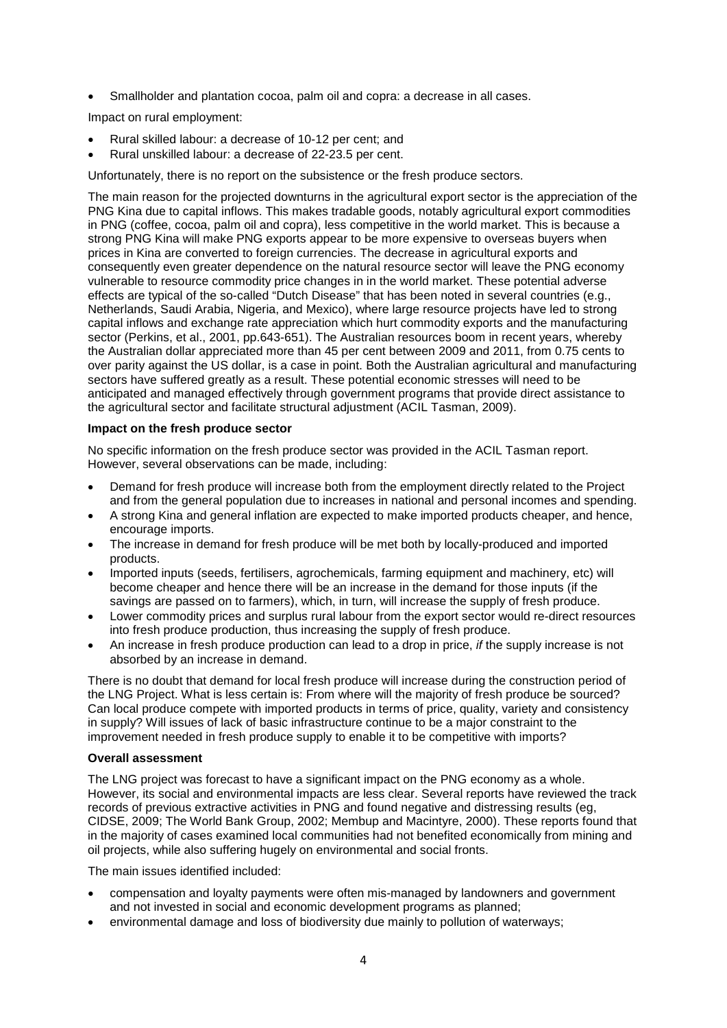• Smallholder and plantation cocoa, palm oil and copra: a decrease in all cases.

Impact on rural employment:

- Rural skilled labour: a decrease of 10-12 per cent; and
- Rural unskilled labour: a decrease of 22-23.5 per cent.

Unfortunately, there is no report on the subsistence or the fresh produce sectors.

The main reason for the projected downturns in the agricultural export sector is the appreciation of the PNG Kina due to capital inflows. This makes tradable goods, notably agricultural export commodities in PNG (coffee, cocoa, palm oil and copra), less competitive in the world market. This is because a strong PNG Kina will make PNG exports appear to be more expensive to overseas buyers when prices in Kina are converted to foreign currencies. The decrease in agricultural exports and consequently even greater dependence on the natural resource sector will leave the PNG economy vulnerable to resource commodity price changes in in the world market. These potential adverse effects are typical of the so-called "Dutch Disease" that has been noted in several countries (e.g., Netherlands, Saudi Arabia, Nigeria, and Mexico), where large resource projects have led to strong capital inflows and exchange rate appreciation which hurt commodity exports and the manufacturing sector (Perkins, et al., 2001, pp.643-651). The Australian resources boom in recent years, whereby the Australian dollar appreciated more than 45 per cent between 2009 and 2011, from 0.75 cents to over parity against the US dollar, is a case in point. Both the Australian agricultural and manufacturing sectors have suffered greatly as a result. These potential economic stresses will need to be anticipated and managed effectively through government programs that provide direct assistance to the agricultural sector and facilitate structural adjustment (ACIL Tasman, 2009).

#### **Impact on the fresh produce sector**

No specific information on the fresh produce sector was provided in the ACIL Tasman report. However, several observations can be made, including:

- Demand for fresh produce will increase both from the employment directly related to the Project and from the general population due to increases in national and personal incomes and spending.
- A strong Kina and general inflation are expected to make imported products cheaper, and hence, encourage imports.
- The increase in demand for fresh produce will be met both by locally-produced and imported products.
- Imported inputs (seeds, fertilisers, agrochemicals, farming equipment and machinery, etc) will become cheaper and hence there will be an increase in the demand for those inputs (if the savings are passed on to farmers), which, in turn, will increase the supply of fresh produce.
- Lower commodity prices and surplus rural labour from the export sector would re-direct resources into fresh produce production, thus increasing the supply of fresh produce.
- An increase in fresh produce production can lead to a drop in price, *if* the supply increase is not absorbed by an increase in demand.

There is no doubt that demand for local fresh produce will increase during the construction period of the LNG Project. What is less certain is: From where will the majority of fresh produce be sourced? Can local produce compete with imported products in terms of price, quality, variety and consistency in supply? Will issues of lack of basic infrastructure continue to be a major constraint to the improvement needed in fresh produce supply to enable it to be competitive with imports?

#### **Overall assessment**

The LNG project was forecast to have a significant impact on the PNG economy as a whole. However, its social and environmental impacts are less clear. Several reports have reviewed the track records of previous extractive activities in PNG and found negative and distressing results (eg, CIDSE, 2009; The World Bank Group, 2002; Membup and Macintyre, 2000). These reports found that in the majority of cases examined local communities had not benefited economically from mining and oil projects, while also suffering hugely on environmental and social fronts.

The main issues identified included:

- compensation and loyalty payments were often mis-managed by landowners and government and not invested in social and economic development programs as planned;
- environmental damage and loss of biodiversity due mainly to pollution of waterways;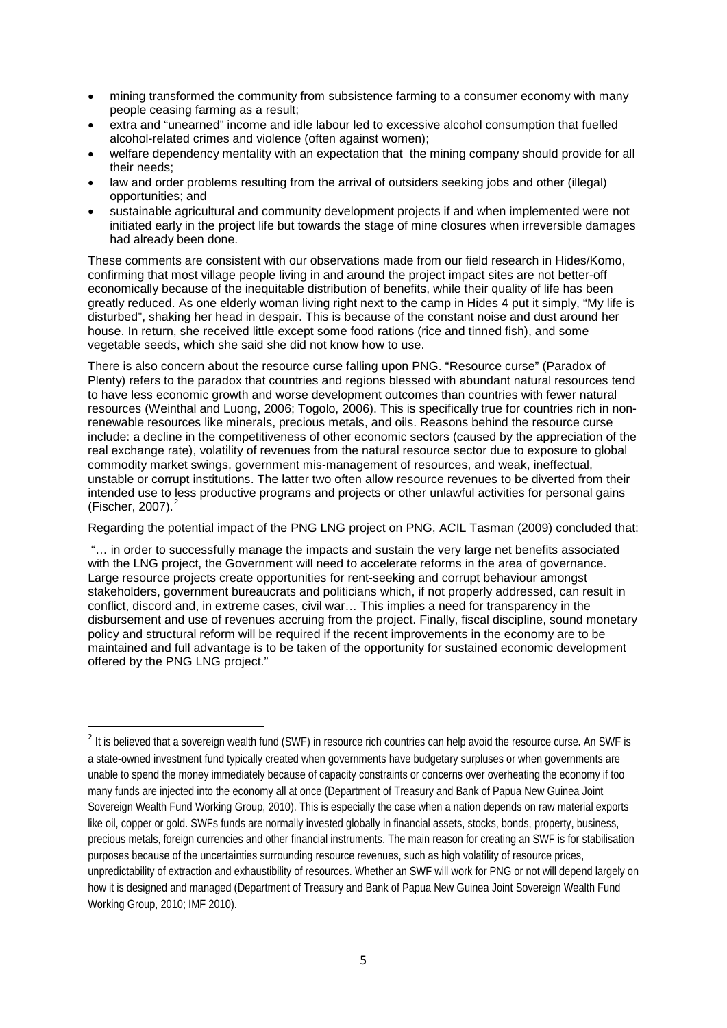- mining transformed the community from subsistence farming to a consumer economy with many people ceasing farming as a result;
- extra and "unearned" income and idle labour led to excessive alcohol consumption that fuelled alcohol-related crimes and violence (often against women);
- welfare dependency mentality with an expectation that the mining company should provide for all their needs;
- law and order problems resulting from the arrival of outsiders seeking jobs and other (illegal) opportunities; and
- sustainable agricultural and community development projects if and when implemented were not initiated early in the project life but towards the stage of mine closures when irreversible damages had already been done.

These comments are consistent with our observations made from our field research in Hides/Komo, confirming that most village people living in and around the project impact sites are not better-off economically because of the inequitable distribution of benefits, while their quality of life has been greatly reduced. As one elderly woman living right next to the camp in Hides 4 put it simply, "My life is disturbed", shaking her head in despair. This is because of the constant noise and dust around her house. In return, she received little except some food rations (rice and tinned fish), and some vegetable seeds, which she said she did not know how to use.

There is also concern about the resource curse falling upon PNG. "Resource curse" (Paradox of Plenty) refers to the paradox that countries and regions blessed with abundant natural resources tend to have less economic growth and worse development outcomes than countries with fewer natural resources (Weinthal and Luong, 2006; Togolo, 2006). This is specifically true for countries rich in nonrenewable resources like minerals, precious metals, and oils. Reasons behind the resource curse include: a decline in the competitiveness of other economic sectors (caused by the appreciation of the real exchange rate), volatility of revenues from the natural resource sector due to exposure to global commodity market swings, government mis-management of resources, and weak, ineffectual, unstable or corrupt institutions. The latter two often allow resource revenues to be diverted from their intended use to less productive programs and projects or other unlawful activities for personal gains (Fischer, [2](#page-2-0)007).<sup>2</sup>

Regarding the potential impact of the PNG LNG project on PNG, ACIL Tasman (2009) concluded that:

"… in order to successfully manage the impacts and sustain the very large net benefits associated with the LNG project, the Government will need to accelerate reforms in the area of governance. Large resource projects create opportunities for rent-seeking and corrupt behaviour amongst stakeholders, government bureaucrats and politicians which, if not properly addressed, can result in conflict, discord and, in extreme cases, civil war… This implies a need for transparency in the disbursement and use of revenues accruing from the project. Finally, fiscal discipline, sound monetary policy and structural reform will be required if the recent improvements in the economy are to be maintained and full advantage is to be taken of the opportunity for sustained economic development offered by the PNG LNG project."

<span id="page-4-0"></span> <sup>2</sup> It is believed that a sovereign wealth fund (SWF) in resource rich countries can help avoid the resource curse**.** An SWF is a state-owned investment fund typically created when governments have budgetary surpluses or when governments are unable to spend the money immediately because of capacity constraints or concerns over overheating the economy if too many funds are injected into the economy all at once (Department of Treasury and Bank of Papua New Guinea Joint Sovereign Wealth Fund Working Group, 2010). This is especially the case when a nation depends on raw material exports like oil, copper or gold. SWFs funds are normally invested globally in financial assets, stocks, bonds, property, business, precious metals, foreign currencies and other financial instruments. The main reason for creating an SWF is for stabilisation purposes because of the uncertainties surrounding resource revenues, such as high volatility of resource prices, unpredictability of extraction and exhaustibility of resources. Whether an SWF will work for PNG or not will depend largely on how it is designed and managed (Department of Treasury and Bank of Papua New Guinea Joint Sovereign Wealth Fund Working Group, 2010; IMF 2010).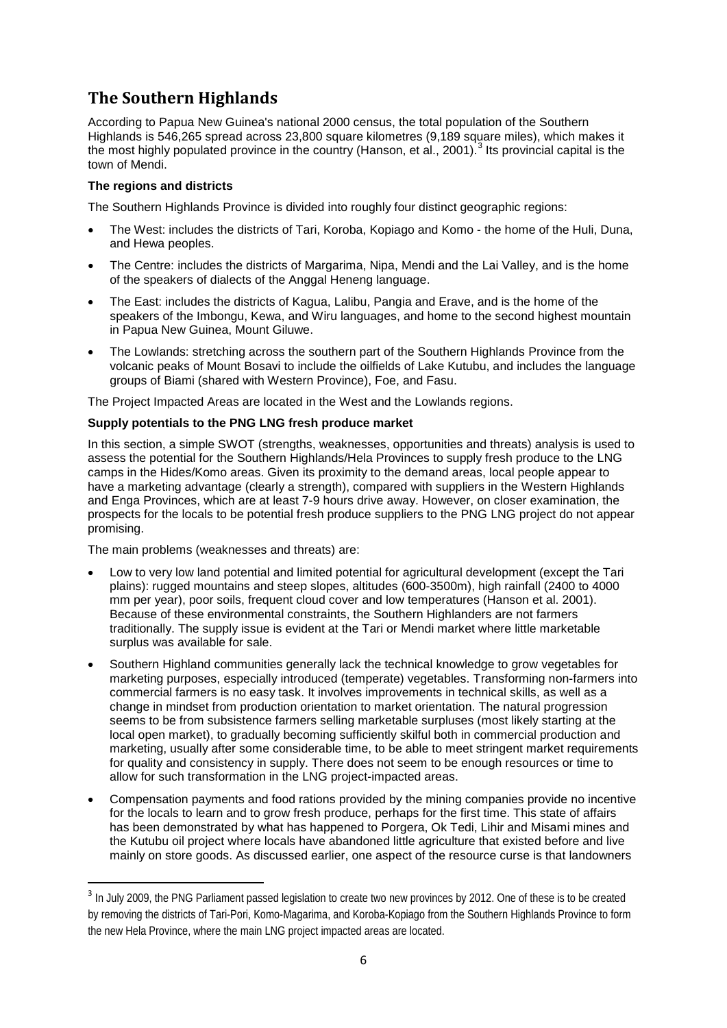# **The Southern Highlands**

According to Papua New Guinea's national 2000 census, the total population of the Southern Highlands is 546,265 spread across 23,800 square kilometres (9,189 square miles), which makes it the most highly populated province in the country (Hanson, et al., 2001).<sup>[3](#page-4-0)</sup> Its provincial capital is the town of [Mendi.](http://en.wikipedia.org/wiki/Mendi)

### **The regions and districts**

The Southern Highlands Province is divided into roughly four distinct geographic regions:

- The West: includes the districts of Tari, Koroba, Kopiago and Komo the home of the [Huli,](http://en.wikipedia.org/wiki/Huli_people) Duna, and [Hewa](http://en.wikipedia.org/wiki/Hewa) peoples.
- The Centre: includes the districts of Margarima, Nipa, Mendi and the Lai Valley, and is the home of the speakers of dialects of the [Anggal Heneng language.](http://en.wikipedia.org/w/index.php?title=Anggal_Heneng_language&action=edit&redlink=1)
- The East: includes the districts of Kagua, [Lalibu,](http://en.wikipedia.org/wiki/Ialibu) Pangia and Erave, and is the home of the speakers of the [Imbongu,](http://en.wikipedia.org/w/index.php?title=Imbongu&action=edit&redlink=1) Kewa, and [Wiru](http://en.wikipedia.org/wiki/Wiru) languages, and home to the second highest mountain in Papua New Guinea, [Mount Giluwe.](http://en.wikipedia.org/wiki/Mount_Giluwe)
- The Lowlands: stretching across the southern part of the Southern Highlands Province from the volcanic peaks of [Mount Bosavi](http://en.wikipedia.org/wiki/Mount_Bosavi) to include the oilfields of [Lake Kutubu,](http://en.wikipedia.org/wiki/Lake_Kutubu) and includes the language groups of Biami (shared with Western Province), Foe, and Fasu.

The Project Impacted Areas are located in the West and the Lowlands regions.

### **Supply potentials to the PNG LNG fresh produce market**

In this section, a simple SWOT (strengths, weaknesses, opportunities and threats) analysis is used to assess the potential for the Southern Highlands/Hela Provinces to supply fresh produce to the LNG camps in the Hides/Komo areas. Given its proximity to the demand areas, local people appear to have a marketing advantage (clearly a strength), compared with suppliers in the Western Highlands and Enga Provinces, which are at least 7-9 hours drive away. However, on closer examination, the prospects for the locals to be potential fresh produce suppliers to the PNG LNG project do not appear promising.

The main problems (weaknesses and threats) are:

- Low to very low land potential and limited potential for agricultural development (except the Tari plains): rugged mountains and steep slopes, altitudes (600-3500m), high rainfall (2400 to 4000 mm per year), poor soils, frequent cloud cover and low temperatures (Hanson et al. 2001). Because of these environmental constraints, the Southern Highlanders are not farmers traditionally. The supply issue is evident at the Tari or Mendi market where little marketable surplus was available for sale.
- Southern Highland communities generally lack the technical knowledge to grow vegetables for marketing purposes, especially introduced (temperate) vegetables. Transforming non-farmers into commercial farmers is no easy task. It involves improvements in technical skills, as well as a change in mindset from production orientation to market orientation. The natural progression seems to be from subsistence farmers selling marketable surpluses (most likely starting at the local open market), to gradually becoming sufficiently skilful both in commercial production and marketing, usually after some considerable time, to be able to meet stringent market requirements for quality and consistency in supply. There does not seem to be enough resources or time to allow for such transformation in the LNG project-impacted areas.
- Compensation payments and food rations provided by the mining companies provide no incentive for the locals to learn and to grow fresh produce, perhaps for the first time. This state of affairs has been demonstrated by what has happened to Porgera, Ok Tedi, Lihir and Misami mines and the Kutubu oil project where locals have abandoned little agriculture that existed before and live mainly on store goods. As discussed earlier, one aspect of the resource curse is that landowners

<span id="page-5-0"></span><sup>&</sup>lt;sup>3</sup> In July 2009, the PNG Parliament passed legislation to create two new provinces by 2012. One of these is to be created by removing the districts of Tari-Pori, Komo-Magarima, and Koroba-Kopiago from the Southern Highlands Province to form the new [Hela Province,](http://en.wikipedia.org/w/index.php?title=Hela_Province&action=edit&redlink=1) where the main LNG project impacted areas are located.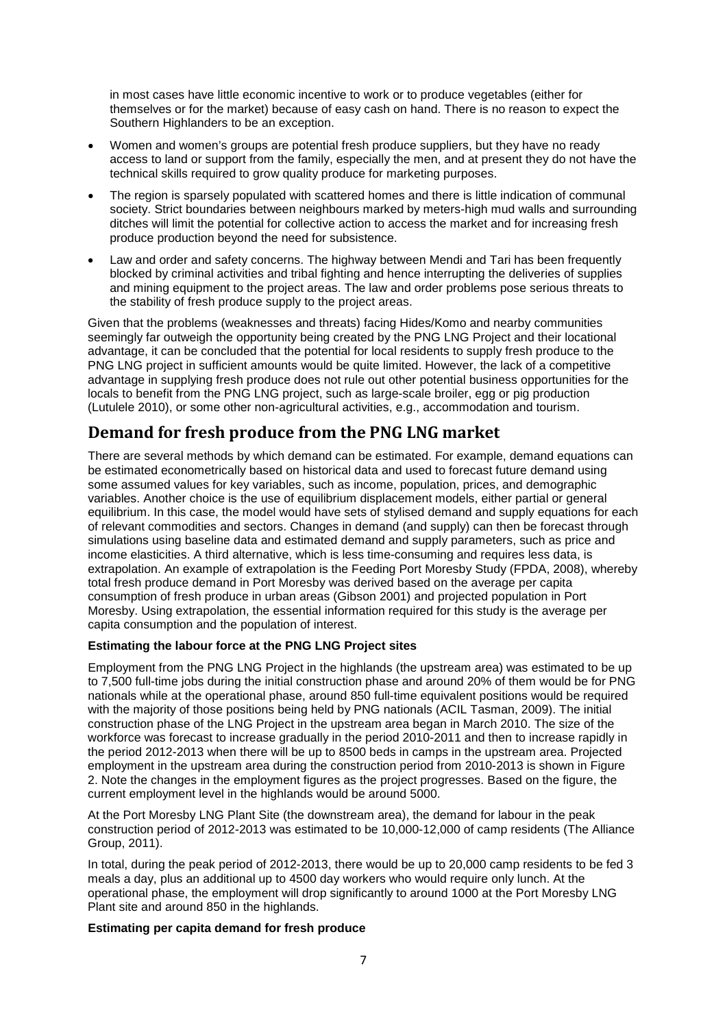in most cases have little economic incentive to work or to produce vegetables (either for themselves or for the market) because of easy cash on hand. There is no reason to expect the Southern Highlanders to be an exception.

- Women and women's groups are potential fresh produce suppliers, but they have no ready access to land or support from the family, especially the men, and at present they do not have the technical skills required to grow quality produce for marketing purposes.
- The region is sparsely populated with scattered homes and there is little indication of communal society. Strict boundaries between neighbours marked by meters-high mud walls and surrounding ditches will limit the potential for collective action to access the market and for increasing fresh produce production beyond the need for subsistence.
- Law and order and safety concerns. The highway between Mendi and Tari has been frequently blocked by criminal activities and tribal fighting and hence interrupting the deliveries of supplies and mining equipment to the project areas. The law and order problems pose serious threats to the stability of fresh produce supply to the project areas.

Given that the problems (weaknesses and threats) facing Hides/Komo and nearby communities seemingly far outweigh the opportunity being created by the PNG LNG Project and their locational advantage, it can be concluded that the potential for local residents to supply fresh produce to the PNG LNG project in sufficient amounts would be quite limited. However, the lack of a competitive advantage in supplying fresh produce does not rule out other potential business opportunities for the locals to benefit from the PNG LNG project, such as large-scale broiler, egg or pig production (Lutulele 2010), or some other non-agricultural activities, e.g., accommodation and tourism.

## **Demand for fresh produce from the PNG LNG market**

There are several methods by which demand can be estimated. For example, demand equations can be estimated econometrically based on historical data and used to forecast future demand using some assumed values for key variables, such as income, population, prices, and demographic variables. Another choice is the use of equilibrium displacement models, either partial or general equilibrium. In this case, the model would have sets of stylised demand and supply equations for each of relevant commodities and sectors. Changes in demand (and supply) can then be forecast through simulations using baseline data and estimated demand and supply parameters, such as price and income elasticities. A third alternative, which is less time-consuming and requires less data, is extrapolation. An example of extrapolation is the Feeding Port Moresby Study (FPDA, 2008), whereby total fresh produce demand in Port Moresby was derived based on the average per capita consumption of fresh produce in urban areas (Gibson 2001) and projected population in Port Moresby. Using extrapolation, the essential information required for this study is the average per capita consumption and the population of interest.

### **Estimating the labour force at the PNG LNG Project sites**

Employment from the PNG LNG Project in the highlands (the upstream area) was estimated to be up to 7,500 full-time jobs during the initial construction phase and around 20% of them would be for PNG nationals while at the operational phase, around 850 full-time equivalent positions would be required with the majority of those positions being held by PNG nationals (ACIL Tasman, 2009). The initial construction phase of the LNG Project in the upstream area began in March 2010. The size of the workforce was forecast to increase gradually in the period 2010-2011 and then to increase rapidly in the period 2012-2013 when there will be up to 8500 beds in camps in the upstream area. Projected employment in the upstream area during the construction period from 2010-2013 is shown in Figure 2. Note the changes in the employment figures as the project progresses. Based on the figure, the current employment level in the highlands would be around 5000.

At the Port Moresby LNG Plant Site (the downstream area), the demand for labour in the peak construction period of 2012-2013 was estimated to be 10,000-12,000 of camp residents (The Alliance Group, 2011).

In total, during the peak period of 2012-2013, there would be up to 20,000 camp residents to be fed 3 meals a day, plus an additional up to 4500 day workers who would require only lunch. At the operational phase, the employment will drop significantly to around 1000 at the Port Moresby LNG Plant site and around 850 in the highlands.

### **Estimating per capita demand for fresh produce**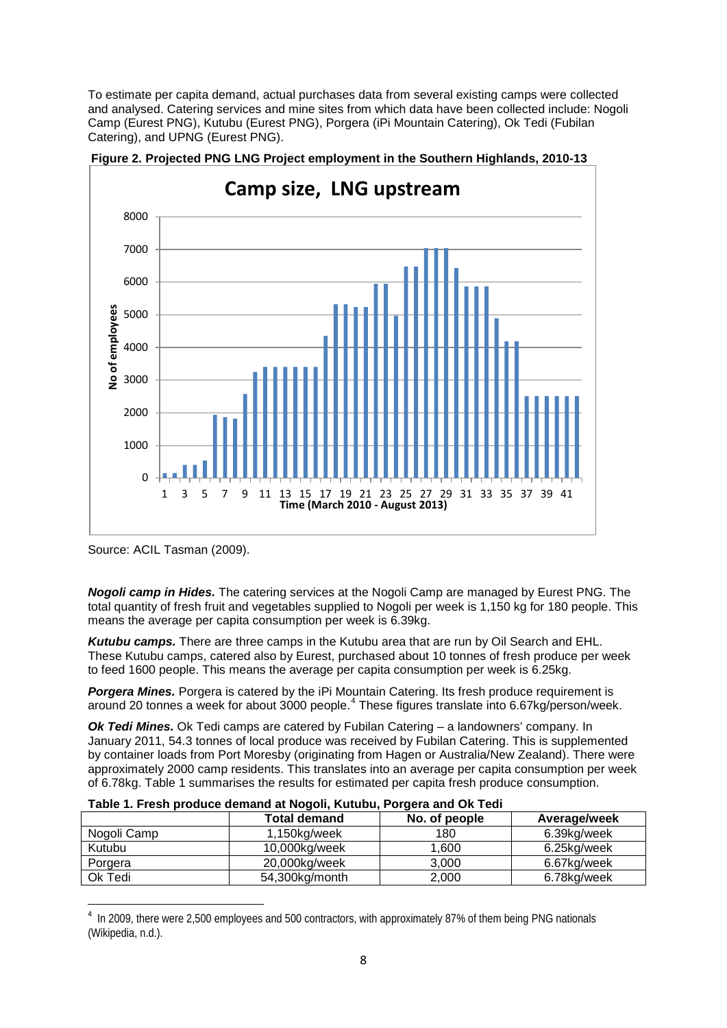To estimate per capita demand, actual purchases data from several existing camps were collected and analysed. Catering services and mine sites from which data have been collected include: Nogoli Camp (Eurest PNG), Kutubu (Eurest PNG), Porgera (iPi Mountain Catering), Ok Tedi (Fubilan Catering), and UPNG (Eurest PNG).



**Figure 2. Projected PNG LNG Project employment in the Southern Highlands, 2010-13**

Source: ACIL Tasman (2009).

*Nogoli camp in Hides.* The catering services at the Nogoli Camp are managed by Eurest PNG. The total quantity of fresh fruit and vegetables supplied to Nogoli per week is 1,150 kg for 180 people. This means the average per capita consumption per week is 6.39kg.

*Kutubu camps.* There are three camps in the Kutubu area that are run by Oil Search and EHL. These Kutubu camps, catered also by Eurest, purchased about 10 tonnes of fresh produce per week to feed 1600 people. This means the average per capita consumption per week is 6.25kg.

*Porgera Mines.* Porgera is catered by the iPi Mountain Catering. Its fresh produce requirement is around 20 tonnes a week for about 3000 people.[4](#page-5-0) These figures translate into 6.67kg/person/week.

*Ok Tedi Mines.* Ok Tedi camps are catered by Fubilan Catering – a landowners' company. In January 2011, 54.3 tonnes of local produce was received by Fubilan Catering. This is supplemented by container loads from Port Moresby (originating from Hagen or Australia/New Zealand). There were approximately 2000 camp residents. This translates into an average per capita consumption per week of 6.78kg. Table 1 summarises the results for estimated per capita fresh produce consumption.

|             | <b>Total demand</b> | No. of people | Average/week |
|-------------|---------------------|---------------|--------------|
| Nogoli Camp | $1,150$ kg/week     | 180           | 6.39kg/week  |
| Kutubu      | 10,000kg/week       | 1.600         | 6.25kg/week  |
| Porgera     | 20,000kg/week       | 3.000         | 6.67kg/week  |
| Ok Tedi     | 54,300kg/month      | 2,000         | 6.78kg/week  |

| Table 1. Fresh produce demand at Nogoli, Kutubu, Porgera and Ok Tedi |  |
|----------------------------------------------------------------------|--|
|                                                                      |  |

<span id="page-7-0"></span><sup>-&</sup>lt;br>4 <sup>4</sup> In 2009, there were 2,500 employees and 500 contractors, with approximately 87% of them being PNG nationals (Wikipedia, n.d.).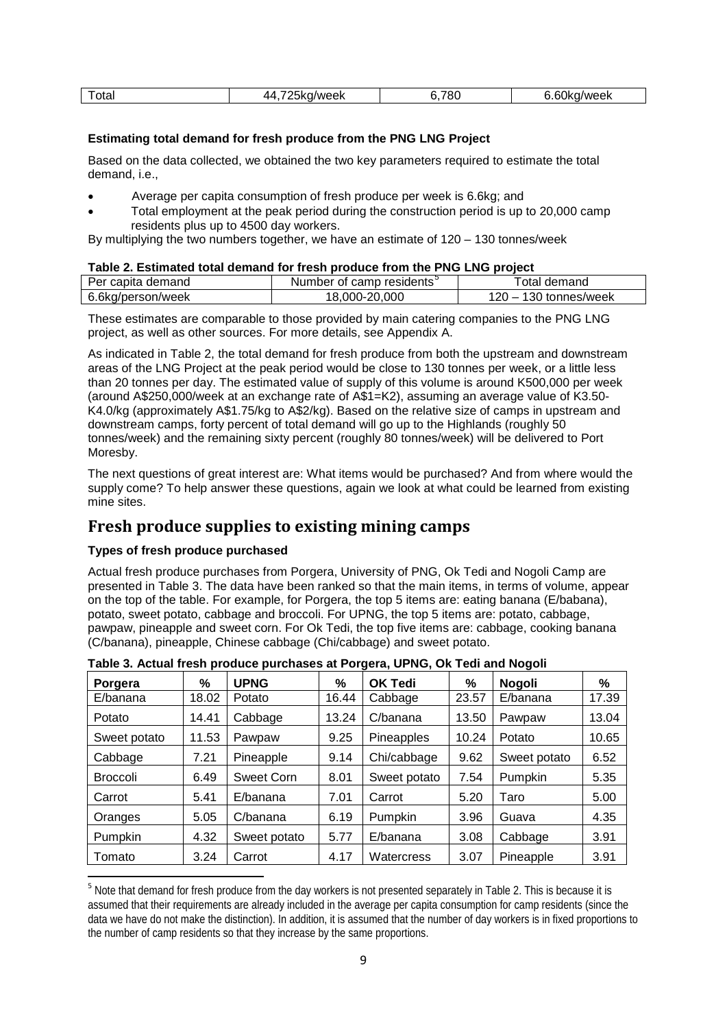| .<br>$\lambda$<br>M<br>ìК<br>.<br>$\sim$<br>__ | . וכ | - - -<br>$\Delta M$<br>. |
|------------------------------------------------|------|--------------------------|
|------------------------------------------------|------|--------------------------|

### **Estimating total demand for fresh produce from the PNG LNG Project**

Based on the data collected, we obtained the two key parameters required to estimate the total demand, i.e.,

- Average per capita consumption of fresh produce per week is 6.6kg; and
- Total employment at the peak period during the construction period is up to 20,000 camp residents plus up to 4500 day workers.

By multiplying the two numbers together, we have an estimate of 120 – 130 tonnes/week

#### **Table 2. Estimated total demand for fresh produce from the PNG LNG project**

| Per capita demand | Number of camp residents | Total demand            |
|-------------------|--------------------------|-------------------------|
| 6.6kg/person/week | 18,000-20,000            | $120 - 130$ tonnes/week |

These estimates are comparable to those provided by main catering companies to the PNG LNG project, as well as other sources. For more details, see Appendix A.

As indicated in Table 2, the total demand for fresh produce from both the upstream and downstream areas of the LNG Project at the peak period would be close to 130 tonnes per week, or a little less than 20 tonnes per day. The estimated value of supply of this volume is around K500,000 per week (around A\$250,000/week at an exchange rate of A\$1=K2), assuming an average value of K3.50- K4.0/kg (approximately A\$1.75/kg to A\$2/kg). Based on the relative size of camps in upstream and downstream camps, forty percent of total demand will go up to the Highlands (roughly 50 tonnes/week) and the remaining sixty percent (roughly 80 tonnes/week) will be delivered to Port Moresby.

The next questions of great interest are: What items would be purchased? And from where would the supply come? To help answer these questions, again we look at what could be learned from existing mine sites.

### **Fresh produce supplies to existing mining camps**

### **Types of fresh produce purchased**

Actual fresh produce purchases from Porgera, University of PNG, Ok Tedi and Nogoli Camp are presented in Table 3. The data have been ranked so that the main items, in terms of volume, appear on the top of the table. For example, for Porgera, the top 5 items are: eating banana (E/babana), potato, sweet potato, cabbage and broccoli. For UPNG, the top 5 items are: potato, cabbage, pawpaw, pineapple and sweet corn. For Ok Tedi, the top five items are: cabbage, cooking banana (C/banana), pineapple, Chinese cabbage (Chi/cabbage) and sweet potato.

<span id="page-8-0"></span>

| , awio of Adam Hooff produce parendoce at Forgeral of Hot on Tour and Hogen |       |              |       |                |       |               |       |
|-----------------------------------------------------------------------------|-------|--------------|-------|----------------|-------|---------------|-------|
| Porgera                                                                     | %     | <b>UPNG</b>  | %     | <b>OK Tedi</b> | ℅     | <b>Nogoli</b> | %     |
| E/banana                                                                    | 18.02 | Potato       | 16.44 | Cabbage        | 23.57 | E/banana      | 17.39 |
| Potato                                                                      | 14.41 | Cabbage      | 13.24 | C/banana       | 13.50 | Pawpaw        | 13.04 |
| Sweet potato                                                                | 11.53 | Pawpaw       | 9.25  | Pineapples     | 10.24 | Potato        | 10.65 |
| Cabbage                                                                     | 7.21  | Pineapple    | 9.14  | Chi/cabbage    | 9.62  | Sweet potato  | 6.52  |
| <b>Broccoli</b>                                                             | 6.49  | Sweet Corn   | 8.01  | Sweet potato   | 7.54  | Pumpkin       | 5.35  |
| Carrot                                                                      | 5.41  | E/banana     | 7.01  | Carrot         | 5.20  | Taro          | 5.00  |
| Oranges                                                                     | 5.05  | C/banana     | 6.19  | Pumpkin        | 3.96  | Guava         | 4.35  |
| Pumpkin                                                                     | 4.32  | Sweet potato | 5.77  | E/banana       | 3.08  | Cabbage       | 3.91  |
| Tomato                                                                      | 3.24  | Carrot       | 4.17  | Watercress     | 3.07  | Pineapple     | 3.91  |

<sup>&</sup>lt;sup>5</sup> Note that demand for fresh produce from the day workers is not presented separately in Table 2. This is because it is assumed that their requirements are already included in the average per capita consumption for camp residents (since the data we have do not make the distinction). In addition, it is assumed that the number of day workers is in fixed proportions to the number of camp residents so that they increase by the same proportions.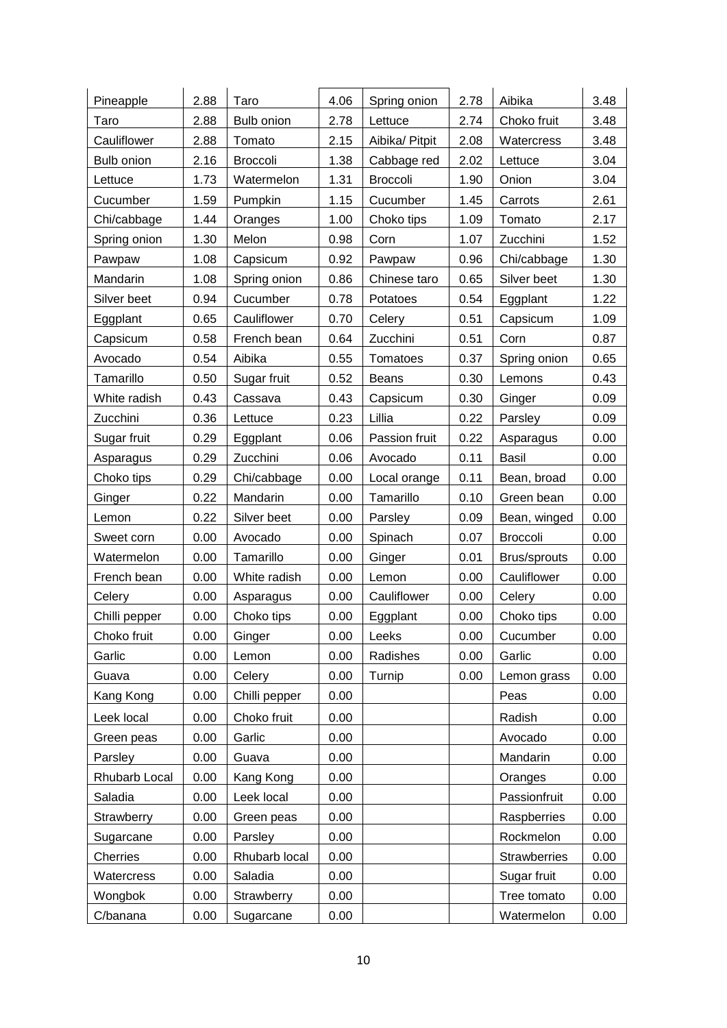| Pineapple     | 2.88 | Taro            | 4.06 | Spring onion   | 2.78 | Aibika          | 3.48 |
|---------------|------|-----------------|------|----------------|------|-----------------|------|
| Taro          | 2.88 | Bulb onion      | 2.78 | Lettuce        | 2.74 | Choko fruit     | 3.48 |
| Cauliflower   | 2.88 | Tomato          | 2.15 | Aibika/ Pitpit | 2.08 | Watercress      | 3.48 |
| Bulb onion    | 2.16 | <b>Broccoli</b> | 1.38 | Cabbage red    | 2.02 | Lettuce         | 3.04 |
| Lettuce       | 1.73 | Watermelon      | 1.31 | Broccoli       | 1.90 | Onion           | 3.04 |
| Cucumber      | 1.59 | Pumpkin         | 1.15 | Cucumber       | 1.45 | Carrots         | 2.61 |
| Chi/cabbage   | 1.44 | Oranges         | 1.00 | Choko tips     | 1.09 | Tomato          | 2.17 |
| Spring onion  | 1.30 | Melon           | 0.98 | Corn           | 1.07 | Zucchini        | 1.52 |
| Pawpaw        | 1.08 | Capsicum        | 0.92 | Pawpaw         | 0.96 | Chi/cabbage     | 1.30 |
| Mandarin      | 1.08 | Spring onion    | 0.86 | Chinese taro   | 0.65 | Silver beet     | 1.30 |
| Silver beet   | 0.94 | Cucumber        | 0.78 | Potatoes       | 0.54 | Eggplant        | 1.22 |
| Eggplant      | 0.65 | Cauliflower     | 0.70 | Celery         | 0.51 | Capsicum        | 1.09 |
| Capsicum      | 0.58 | French bean     | 0.64 | Zucchini       | 0.51 | Corn            | 0.87 |
| Avocado       | 0.54 | Aibika          | 0.55 | Tomatoes       | 0.37 | Spring onion    | 0.65 |
| Tamarillo     | 0.50 | Sugar fruit     | 0.52 | <b>Beans</b>   | 0.30 | Lemons          | 0.43 |
| White radish  | 0.43 | Cassava         | 0.43 | Capsicum       | 0.30 | Ginger          | 0.09 |
| Zucchini      | 0.36 | Lettuce         | 0.23 | Lillia         | 0.22 | Parsley         | 0.09 |
| Sugar fruit   | 0.29 | Eggplant        | 0.06 | Passion fruit  | 0.22 | Asparagus       | 0.00 |
| Asparagus     | 0.29 | Zucchini        | 0.06 | Avocado        | 0.11 | <b>Basil</b>    | 0.00 |
| Choko tips    | 0.29 | Chi/cabbage     | 0.00 | Local orange   | 0.11 | Bean, broad     | 0.00 |
| Ginger        | 0.22 | Mandarin        | 0.00 | Tamarillo      | 0.10 | Green bean      | 0.00 |
| Lemon         | 0.22 | Silver beet     | 0.00 | Parsley        | 0.09 | Bean, winged    | 0.00 |
| Sweet corn    | 0.00 | Avocado         | 0.00 | Spinach        | 0.07 | <b>Broccoli</b> | 0.00 |
| Watermelon    | 0.00 | Tamarillo       | 0.00 | Ginger         | 0.01 | Brus/sprouts    | 0.00 |
| French bean   | 0.00 | White radish    | 0.00 | Lemon          | 0.00 | Cauliflower     | 0.00 |
| Celery        | 0.00 | Asparagus       | 0.00 | Cauliflower    | 0.00 | Celery          | 0.00 |
| Chilli pepper | 0.00 | Choko tips      | 0.00 | Eggplant       | 0.00 | Choko tips      | 0.00 |
| Choko fruit   | 0.00 | Ginger          | 0.00 | Leeks          | 0.00 | Cucumber        | 0.00 |
| Garlic        | 0.00 | Lemon           | 0.00 | Radishes       | 0.00 | Garlic          | 0.00 |
| Guava         | 0.00 | Celery          | 0.00 | Turnip         | 0.00 | Lemon grass     | 0.00 |
| Kang Kong     | 0.00 | Chilli pepper   | 0.00 |                |      | Peas            | 0.00 |
| Leek local    | 0.00 | Choko fruit     | 0.00 |                |      | Radish          | 0.00 |
| Green peas    | 0.00 | Garlic          | 0.00 |                |      | Avocado         | 0.00 |
| Parsley       | 0.00 | Guava           | 0.00 |                |      | Mandarin        | 0.00 |
| Rhubarb Local | 0.00 | Kang Kong       | 0.00 |                |      | Oranges         | 0.00 |
| Saladia       | 0.00 | Leek local      | 0.00 |                |      | Passionfruit    | 0.00 |
| Strawberry    | 0.00 | Green peas      | 0.00 |                |      | Raspberries     | 0.00 |
| Sugarcane     | 0.00 | Parsley         | 0.00 |                |      | Rockmelon       | 0.00 |
| Cherries      | 0.00 | Rhubarb local   | 0.00 |                |      | Strawberries    | 0.00 |
| Watercress    |      |                 |      |                |      |                 |      |
|               | 0.00 | Saladia         | 0.00 |                |      | Sugar fruit     | 0.00 |
| Wongbok       | 0.00 | Strawberry      | 0.00 |                |      | Tree tomato     | 0.00 |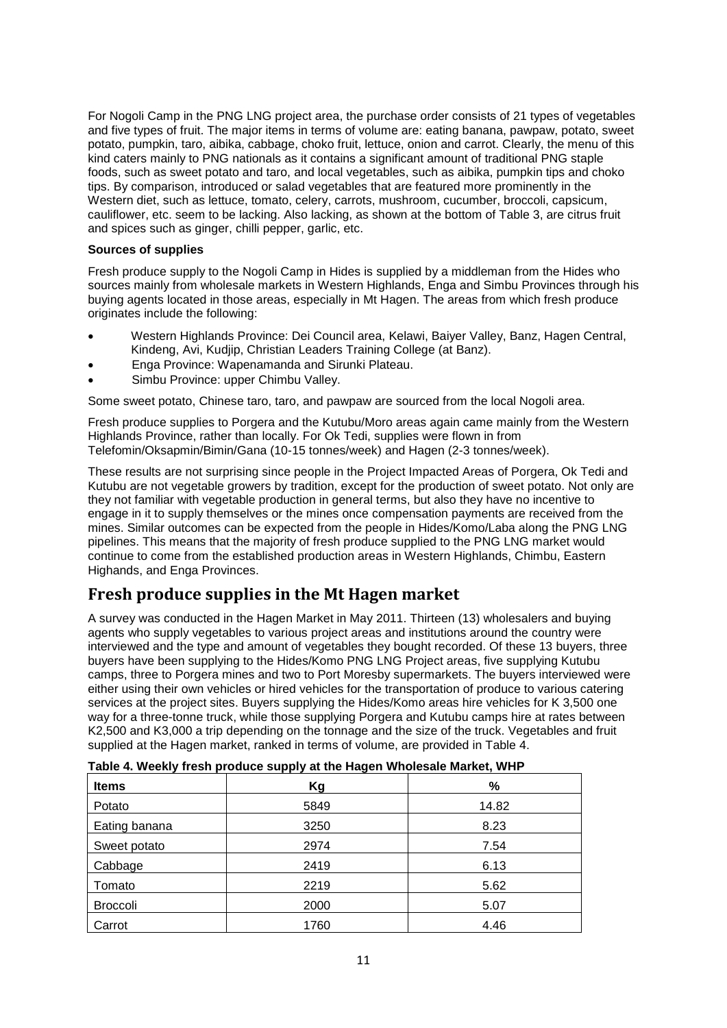For Nogoli Camp in the PNG LNG project area, the purchase order consists of 21 types of vegetables and five types of fruit. The major items in terms of volume are: eating banana, pawpaw, potato, sweet potato, pumpkin, taro, aibika, cabbage, choko fruit, lettuce, onion and carrot. Clearly, the menu of this kind caters mainly to PNG nationals as it contains a significant amount of traditional PNG staple foods, such as sweet potato and taro, and local vegetables, such as aibika, pumpkin tips and choko tips. By comparison, introduced or salad vegetables that are featured more prominently in the Western diet, such as lettuce, tomato, celery, carrots, mushroom, cucumber, broccoli, capsicum, cauliflower, etc. seem to be lacking. Also lacking, as shown at the bottom of Table 3, are citrus fruit and spices such as ginger, chilli pepper, garlic, etc.

#### **Sources of supplies**

Fresh produce supply to the Nogoli Camp in Hides is supplied by a middleman from the Hides who sources mainly from wholesale markets in Western Highlands, Enga and Simbu Provinces through his buying agents located in those areas, especially in Mt Hagen. The areas from which fresh produce originates include the following:

- Western Highlands Province: Dei Council area, Kelawi, Baiyer Valley, Banz, Hagen Central, Kindeng, Avi, Kudjip, Christian Leaders Training College (at Banz).
- Enga Province: Wapenamanda and Sirunki Plateau.
- Simbu Province: upper Chimbu Valley.

Some sweet potato, Chinese taro, taro, and pawpaw are sourced from the local Nogoli area.

Fresh produce supplies to Porgera and the Kutubu/Moro areas again came mainly from the Western Highlands Province, rather than locally. For Ok Tedi, supplies were flown in from Telefomin/Oksapmin/Bimin/Gana (10-15 tonnes/week) and Hagen (2-3 tonnes/week).

These results are not surprising since people in the Project Impacted Areas of Porgera, Ok Tedi and Kutubu are not vegetable growers by tradition, except for the production of sweet potato. Not only are they not familiar with vegetable production in general terms, but also they have no incentive to engage in it to supply themselves or the mines once compensation payments are received from the mines. Similar outcomes can be expected from the people in Hides/Komo/Laba along the PNG LNG pipelines. This means that the majority of fresh produce supplied to the PNG LNG market would continue to come from the established production areas in Western Highlands, Chimbu, Eastern Highands, and Enga Provinces.

## **Fresh produce supplies in the Mt Hagen market**

A survey was conducted in the Hagen Market in May 2011. Thirteen (13) wholesalers and buying agents who supply vegetables to various project areas and institutions around the country were interviewed and the type and amount of vegetables they bought recorded. Of these 13 buyers, three buyers have been supplying to the Hides/Komo PNG LNG Project areas, five supplying Kutubu camps, three to Porgera mines and two to Port Moresby supermarkets. The buyers interviewed were either using their own vehicles or hired vehicles for the transportation of produce to various catering services at the project sites. Buyers supplying the Hides/Komo areas hire vehicles for K 3,500 one way for a three-tonne truck, while those supplying Porgera and Kutubu camps hire at rates between K2,500 and K3,000 a trip depending on the tonnage and the size of the truck. Vegetables and fruit supplied at the Hagen market, ranked in terms of volume, are provided in Table 4.

|                 | .<br>~ |       |
|-----------------|--------|-------|
| <b>Items</b>    | Kg     | $\%$  |
| Potato          | 5849   | 14.82 |
| Eating banana   | 3250   | 8.23  |
| Sweet potato    | 2974   | 7.54  |
| Cabbage         | 2419   | 6.13  |
| Tomato          | 2219   | 5.62  |
| <b>Broccoli</b> | 2000   | 5.07  |
| Carrot          | 1760   | 4.46  |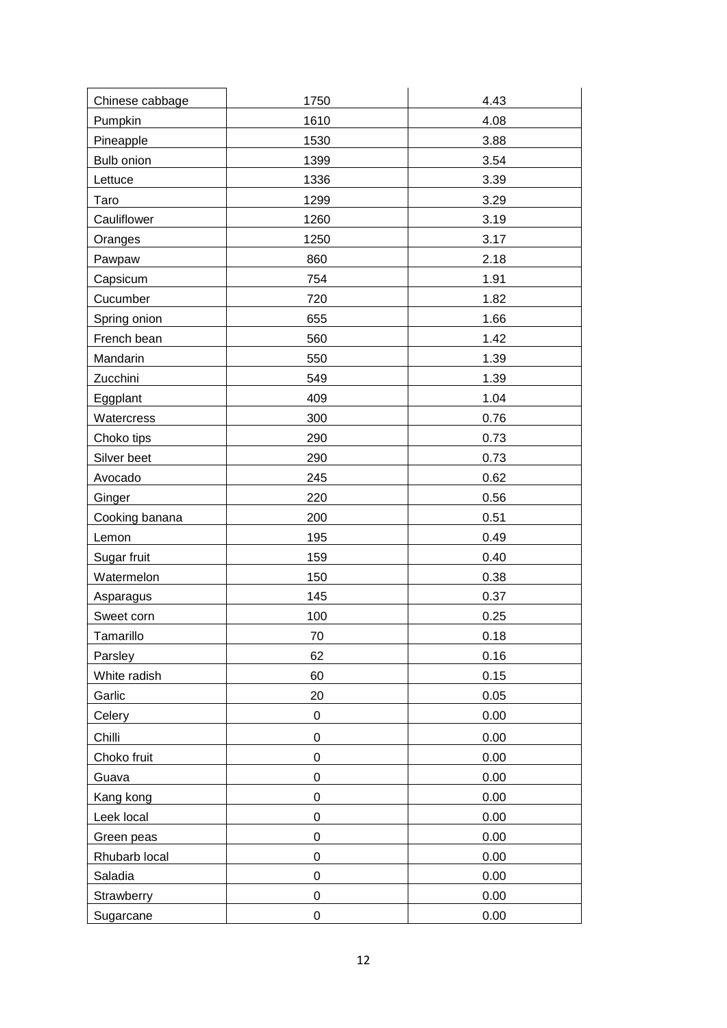| Chinese cabbage | 1750             | 4.43 |
|-----------------|------------------|------|
| Pumpkin         | 1610             | 4.08 |
| Pineapple       | 1530             | 3.88 |
| Bulb onion      | 1399             | 3.54 |
| Lettuce         | 1336             | 3.39 |
| Taro            | 1299             | 3.29 |
| Cauliflower     | 1260             | 3.19 |
| Oranges         | 1250             | 3.17 |
| Pawpaw          | 860              | 2.18 |
| Capsicum        | 754              | 1.91 |
| Cucumber        | 720              | 1.82 |
| Spring onion    | 655              | 1.66 |
| French bean     | 560              | 1.42 |
| Mandarin        | 550              | 1.39 |
| Zucchini        | 549              | 1.39 |
| Eggplant        | 409              | 1.04 |
| Watercress      | 300              | 0.76 |
| Choko tips      | 290              | 0.73 |
| Silver beet     | 290              | 0.73 |
| Avocado         | 245              | 0.62 |
| Ginger          | 220              | 0.56 |
| Cooking banana  | 200              | 0.51 |
| Lemon           | 195              | 0.49 |
| Sugar fruit     | 159              | 0.40 |
| Watermelon      | 150              | 0.38 |
| Asparagus       | 145              | 0.37 |
| Sweet corn      | 100              | 0.25 |
| Tamarillo       | 70               | 0.18 |
| Parsley         | 62               | 0.16 |
| White radish    | 60               | 0.15 |
| Garlic          | 20               | 0.05 |
| Celery          | $\boldsymbol{0}$ | 0.00 |
| Chilli          | $\boldsymbol{0}$ | 0.00 |
| Choko fruit     | $\boldsymbol{0}$ | 0.00 |
| Guava           | $\boldsymbol{0}$ | 0.00 |
| Kang kong       | $\boldsymbol{0}$ | 0.00 |
| Leek local      | $\boldsymbol{0}$ | 0.00 |
| Green peas      | $\mathbf 0$      | 0.00 |
| Rhubarb local   | $\boldsymbol{0}$ | 0.00 |
| Saladia         | $\boldsymbol{0}$ | 0.00 |
| Strawberry      | $\boldsymbol{0}$ | 0.00 |
| Sugarcane       | $\boldsymbol{0}$ | 0.00 |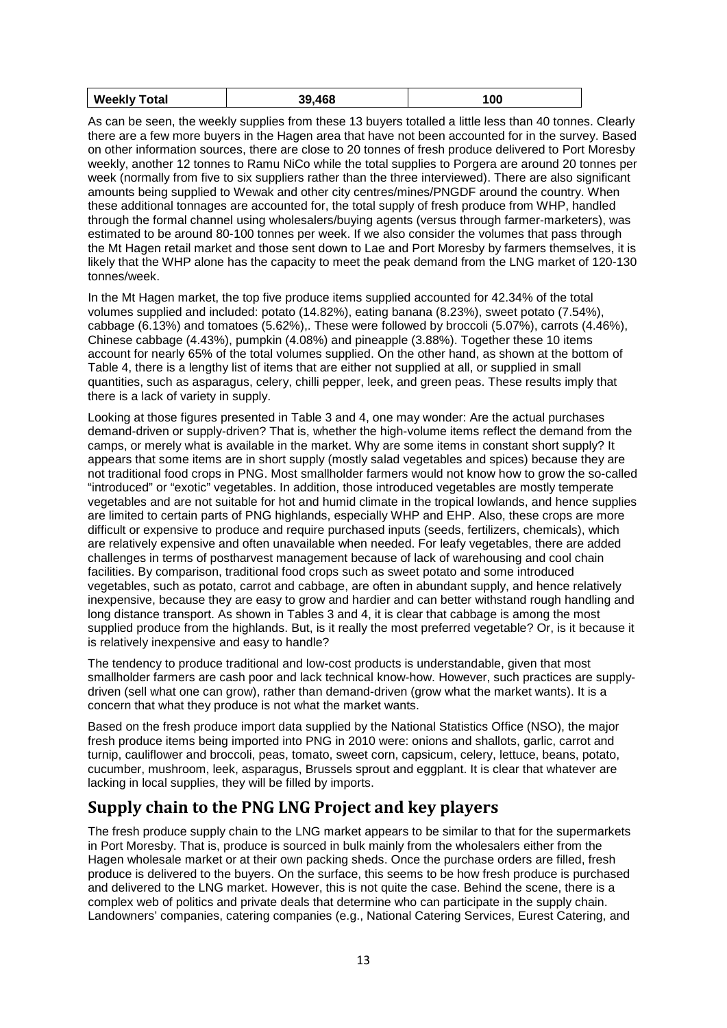| Weekly 1<br>Total | 39.468 | ωn<br>υu |
|-------------------|--------|----------|
|                   |        |          |

As can be seen, the weekly supplies from these 13 buyers totalled a little less than 40 tonnes. Clearly there are a few more buyers in the Hagen area that have not been accounted for in the survey. Based on other information sources, there are close to 20 tonnes of fresh produce delivered to Port Moresby weekly, another 12 tonnes to Ramu NiCo while the total supplies to Porgera are around 20 tonnes per week (normally from five to six suppliers rather than the three interviewed). There are also significant amounts being supplied to Wewak and other city centres/mines/PNGDF around the country. When these additional tonnages are accounted for, the total supply of fresh produce from WHP, handled through the formal channel using wholesalers/buying agents (versus through farmer-marketers), was estimated to be around 80-100 tonnes per week. If we also consider the volumes that pass through the Mt Hagen retail market and those sent down to Lae and Port Moresby by farmers themselves, it is likely that the WHP alone has the capacity to meet the peak demand from the LNG market of 120-130 tonnes/week.

In the Mt Hagen market, the top five produce items supplied accounted for 42.34% of the total volumes supplied and included: potato (14.82%), eating banana (8.23%), sweet potato (7.54%), cabbage (6.13%) and tomatoes (5.62%),. These were followed by broccoli (5.07%), carrots (4.46%), Chinese cabbage (4.43%), pumpkin (4.08%) and pineapple (3.88%). Together these 10 items account for nearly 65% of the total volumes supplied. On the other hand, as shown at the bottom of Table 4, there is a lengthy list of items that are either not supplied at all, or supplied in small quantities, such as asparagus, celery, chilli pepper, leek, and green peas. These results imply that there is a lack of variety in supply.

Looking at those figures presented in Table 3 and 4, one may wonder: Are the actual purchases demand-driven or supply-driven? That is, whether the high-volume items reflect the demand from the camps, or merely what is available in the market. Why are some items in constant short supply? It appears that some items are in short supply (mostly salad vegetables and spices) because they are not traditional food crops in PNG. Most smallholder farmers would not know how to grow the so-called "introduced" or "exotic" vegetables. In addition, those introduced vegetables are mostly temperate vegetables and are not suitable for hot and humid climate in the tropical lowlands, and hence supplies are limited to certain parts of PNG highlands, especially WHP and EHP. Also, these crops are more difficult or expensive to produce and require purchased inputs (seeds, fertilizers, chemicals), which are relatively expensive and often unavailable when needed. For leafy vegetables, there are added challenges in terms of postharvest management because of lack of warehousing and cool chain facilities. By comparison, traditional food crops such as sweet potato and some introduced vegetables, such as potato, carrot and cabbage, are often in abundant supply, and hence relatively inexpensive, because they are easy to grow and hardier and can better withstand rough handling and long distance transport. As shown in Tables 3 and 4, it is clear that cabbage is among the most supplied produce from the highlands. But, is it really the most preferred vegetable? Or, is it because it is relatively inexpensive and easy to handle?

The tendency to produce traditional and low-cost products is understandable, given that most smallholder farmers are cash poor and lack technical know-how. However, such practices are supplydriven (sell what one can grow), rather than demand-driven (grow what the market wants). It is a concern that what they produce is not what the market wants.

Based on the fresh produce import data supplied by the National Statistics Office (NSO), the major fresh produce items being imported into PNG in 2010 were: onions and shallots, garlic, carrot and turnip, cauliflower and broccoli, peas, tomato, sweet corn, capsicum, celery, lettuce, beans, potato, cucumber, mushroom, leek, asparagus, Brussels sprout and eggplant. It is clear that whatever are lacking in local supplies, they will be filled by imports.

## **Supply chain to the PNG LNG Project and key players**

The fresh produce supply chain to the LNG market appears to be similar to that for the supermarkets in Port Moresby. That is, produce is sourced in bulk mainly from the wholesalers either from the Hagen wholesale market or at their own packing sheds. Once the purchase orders are filled, fresh produce is delivered to the buyers. On the surface, this seems to be how fresh produce is purchased and delivered to the LNG market. However, this is not quite the case. Behind the scene, there is a complex web of politics and private deals that determine who can participate in the supply chain. Landowners' companies, catering companies (e.g., National Catering Services, Eurest Catering, and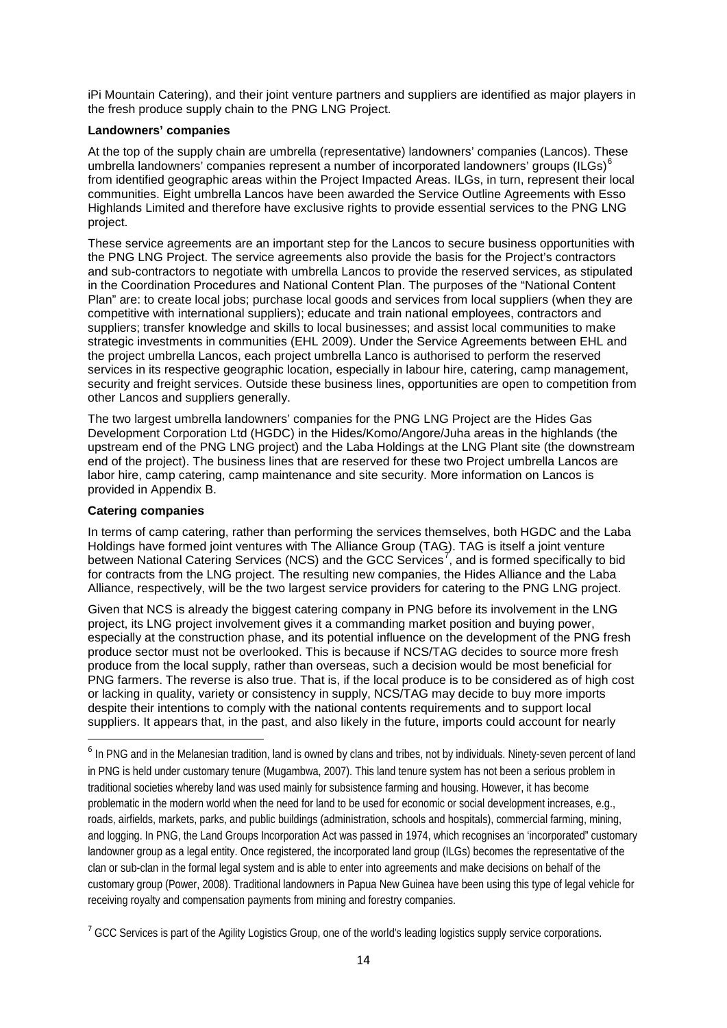iPi Mountain Catering), and their joint venture partners and suppliers are identified as major players in the fresh produce supply chain to the PNG LNG Project.

#### **Landowners' companies**

At the top of the supply chain are umbrella (representative) landowners' companies (Lancos). These umbrella landowners' companies represent a number of incorporated landowners' groups (ILGs)<sup>[6](#page-8-0)</sup> from identified geographic areas within the Project Impacted Areas. ILGs, in turn, represent their local communities. Eight umbrella Lancos have been awarded the Service Outline Agreements with Esso Highlands Limited and therefore have exclusive rights to provide essential services to the PNG LNG project.

These service agreements are an important step for the Lancos to secure business opportunities with the PNG LNG Project. The service agreements also provide the basis for the Project's contractors and sub-contractors to negotiate with umbrella Lancos to provide the reserved services, as stipulated in the Coordination Procedures and National Content Plan. The purposes of the "National Content Plan" are: to create local jobs; purchase local goods and services from local suppliers (when they are competitive with international suppliers); educate and train national employees, contractors and suppliers; transfer knowledge and skills to local businesses; and assist local communities to make strategic investments in communities (EHL 2009). Under the Service Agreements between EHL and the project umbrella Lancos, each project umbrella Lanco is authorised to perform the reserved services in its respective geographic location, especially in labour hire, catering, camp management, security and freight services. Outside these business lines, opportunities are open to competition from other Lancos and suppliers generally.

The two largest umbrella landowners' companies for the PNG LNG Project are the Hides Gas Development Corporation Ltd (HGDC) in the Hides/Komo/Angore/Juha areas in the highlands (the upstream end of the PNG LNG project) and the Laba Holdings at the LNG Plant site (the downstream end of the project). The business lines that are reserved for these two Project umbrella Lancos are labor hire, camp catering, camp maintenance and site security. More information on Lancos is provided in Appendix B.

### **Catering companies**

In terms of camp catering, rather than performing the services themselves, both HGDC and the Laba Holdings have formed joint ventures with The Alliance Group (TAG). TAG is itself a joint venture between National Catering Services (NCS) and the GCC Services<sup>[7](#page-13-0)</sup>, and is formed specifically to bid for contracts from the LNG project. The resulting new companies, the Hides Alliance and the Laba Alliance, respectively, will be the two largest service providers for catering to the PNG LNG project.

Given that NCS is already the biggest catering company in PNG before its involvement in the LNG project, its LNG project involvement gives it a commanding market position and buying power, especially at the construction phase, and its potential influence on the development of the PNG fresh produce sector must not be overlooked. This is because if NCS/TAG decides to source more fresh produce from the local supply, rather than overseas, such a decision would be most beneficial for PNG farmers. The reverse is also true. That is, if the local produce is to be considered as of high cost or lacking in quality, variety or consistency in supply, NCS/TAG may decide to buy more imports despite their intentions to comply with the national contents requirements and to support local suppliers. It appears that, in the past, and also likely in the future, imports could account for nearly

<sup>&</sup>lt;sup>6</sup> In PNG and in the Melanesian tradition, land is owned by clans and tribes, not by individuals. Ninety-seven percent of land in PNG is held under customary tenure (Mugambwa, 2007). This land tenure system has not been a serious problem in traditional societies whereby land was used mainly for subsistence farming and housing. However, it has become problematic in the modern world when the need for land to be used for economic or social development increases, e.g., roads, airfields, markets, parks, and public buildings (administration, schools and hospitals), commercial farming, mining, and logging. In PNG, the Land Groups Incorporation Act was passed in 1974, which recognises an 'incorporated" customary landowner group as a legal entity. Once registered, the incorporated land group (ILGs) becomes the representative of the clan or sub-clan in the formal legal system and is able to enter into agreements and make decisions on behalf of the customary group (Power, 2008). Traditional landowners in Papua New Guinea have been using this type of legal vehicle for receiving royalty and compensation payments from mining and forestry companies.

<span id="page-13-1"></span><span id="page-13-0"></span> $<sup>7</sup>$  GCC Services is part of the Agility Logistics Group, one of the world's leading logistics supply service corporations.</sup>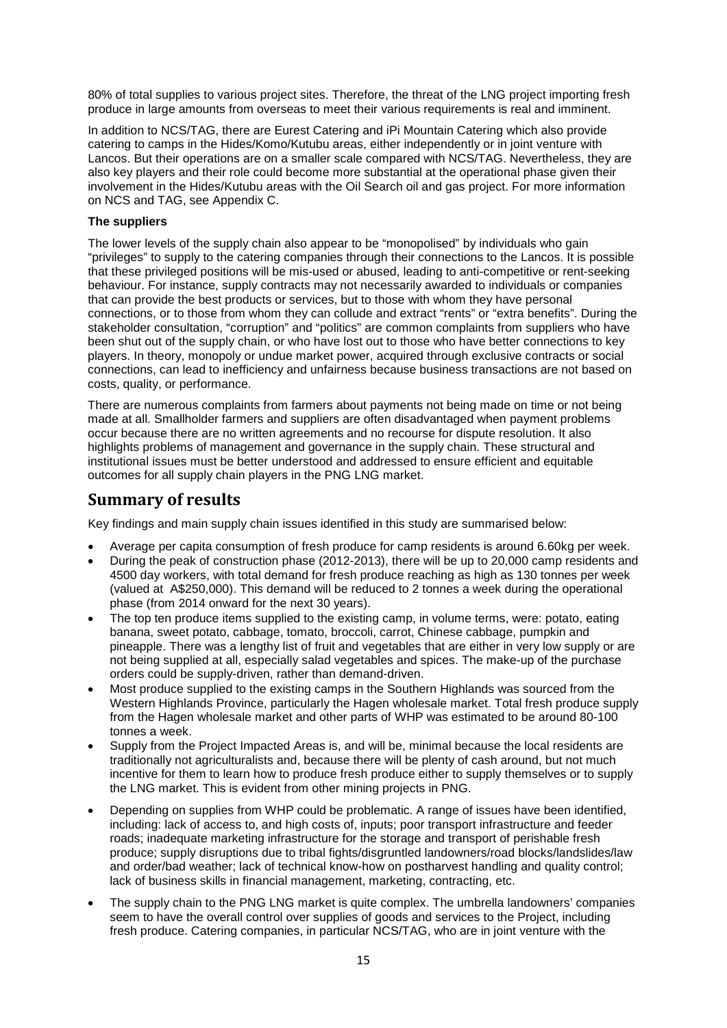80% of total supplies to various project sites. Therefore, the threat of the LNG project importing fresh produce in large amounts from overseas to meet their various requirements is real and imminent.

In addition to NCS/TAG, there are Eurest Catering and iPi Mountain Catering which also provide catering to camps in the Hides/Komo/Kutubu areas, either independently or in joint venture with Lancos. But their operations are on a smaller scale compared with NCS/TAG. Nevertheless, they are also key players and their role could become more substantial at the operational phase given their involvement in the Hides/Kutubu areas with the Oil Search oil and gas project. For more information on NCS and TAG, see Appendix C.

#### **The suppliers**

The lower levels of the supply chain also appear to be "monopolised" by individuals who gain "privileges" to supply to the catering companies through their connections to the Lancos. It is possible that these privileged positions will be mis-used or abused, leading to anti-competitive or rent-seeking behaviour. For instance, supply contracts may not necessarily awarded to individuals or companies that can provide the best products or services, but to those with whom they have personal connections, or to those from whom they can collude and extract "rents" or "extra benefits". During the stakeholder consultation, "corruption" and "politics" are common complaints from suppliers who have been shut out of the supply chain, or who have lost out to those who have better connections to key players. In theory, monopoly or undue market power, acquired through exclusive contracts or social connections, can lead to inefficiency and unfairness because business transactions are not based on costs, quality, or performance.

There are numerous complaints from farmers about payments not being made on time or not being made at all. Smallholder farmers and suppliers are often disadvantaged when payment problems occur because there are no written agreements and no recourse for dispute resolution. It also highlights problems of management and governance in the supply chain. These structural and institutional issues must be better understood and addressed to ensure efficient and equitable outcomes for all supply chain players in the PNG LNG market.

### **Summary of results**

Key findings and main supply chain issues identified in this study are summarised below:

- Average per capita consumption of fresh produce for camp residents is around 6.60kg per week.
- During the peak of construction phase (2012-2013), there will be up to 20,000 camp residents and 4500 day workers, with total demand for fresh produce reaching as high as 130 tonnes per week (valued at A\$250,000). This demand will be reduced to 2 tonnes a week during the operational phase (from 2014 onward for the next 30 years).
- The top ten produce items supplied to the existing camp, in volume terms, were: potato, eating banana, sweet potato, cabbage, tomato, broccoli, carrot, Chinese cabbage, pumpkin and pineapple. There was a lengthy list of fruit and vegetables that are either in very low supply or are not being supplied at all, especially salad vegetables and spices. The make-up of the purchase orders could be supply-driven, rather than demand-driven.
- Most produce supplied to the existing camps in the Southern Highlands was sourced from the Western Highlands Province, particularly the Hagen wholesale market. Total fresh produce supply from the Hagen wholesale market and other parts of WHP was estimated to be around 80-100 tonnes a week.
- Supply from the Project Impacted Areas is, and will be, minimal because the local residents are traditionally not agriculturalists and, because there will be plenty of cash around, but not much incentive for them to learn how to produce fresh produce either to supply themselves or to supply the LNG market. This is evident from other mining projects in PNG.
- Depending on supplies from WHP could be problematic. A range of issues have been identified, including: lack of access to, and high costs of, inputs; poor transport infrastructure and feeder roads; inadequate marketing infrastructure for the storage and transport of perishable fresh produce; supply disruptions due to tribal fights/disgruntled landowners/road blocks/landslides/law and order/bad weather; lack of technical know-how on postharvest handling and quality control; lack of business skills in financial management, marketing, contracting, etc.
- The supply chain to the PNG LNG market is quite complex. The umbrella landowners' companies seem to have the overall control over supplies of goods and services to the Project, including fresh produce. Catering companies, in particular NCS/TAG, who are in joint venture with the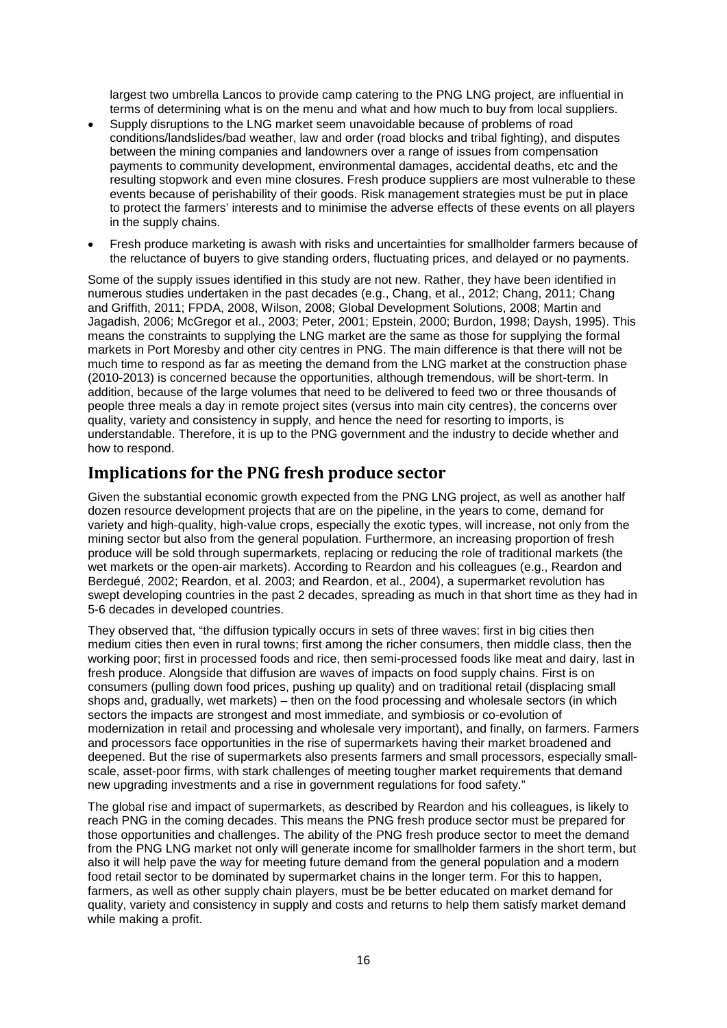largest two umbrella Lancos to provide camp catering to the PNG LNG project, are influential in terms of determining what is on the menu and what and how much to buy from local suppliers.

- Supply disruptions to the LNG market seem unavoidable because of problems of road conditions/landslides/bad weather, law and order (road blocks and tribal fighting), and disputes between the mining companies and landowners over a range of issues from compensation payments to community development, environmental damages, accidental deaths, etc and the resulting stopwork and even mine closures. Fresh produce suppliers are most vulnerable to these events because of perishability of their goods. Risk management strategies must be put in place to protect the farmers' interests and to minimise the adverse effects of these events on all players in the supply chains.
- Fresh produce marketing is awash with risks and uncertainties for smallholder farmers because of the reluctance of buyers to give standing orders, fluctuating prices, and delayed or no payments.

Some of the supply issues identified in this study are not new. Rather, they have been identified in numerous studies undertaken in the past decades (e.g., Chang, et al., 2012; Chang, 2011; Chang and Griffith, 2011; FPDA, 2008, Wilson, 2008; Global Development Solutions, 2008; Martin and Jagadish, 2006; McGregor et al., 2003; Peter, 2001; Epstein, 2000; Burdon, 1998; Daysh, 1995). This means the constraints to supplying the LNG market are the same as those for supplying the formal markets in Port Moresby and other city centres in PNG. The main difference is that there will not be much time to respond as far as meeting the demand from the LNG market at the construction phase (2010-2013) is concerned because the opportunities, although tremendous, will be short-term. In addition, because of the large volumes that need to be delivered to feed two or three thousands of people three meals a day in remote project sites (versus into main city centres), the concerns over quality, variety and consistency in supply, and hence the need for resorting to imports, is understandable. Therefore, it is up to the PNG government and the industry to decide whether and how to respond.

### **Implications for the PNG fresh produce sector**

Given the substantial economic growth expected from the PNG LNG project, as well as another half dozen resource development projects that are on the pipeline, in the years to come, demand for variety and high-quality, high-value crops, especially the exotic types, will increase, not only from the mining sector but also from the general population. Furthermore, an increasing proportion of fresh produce will be sold through supermarkets, replacing or reducing the role of traditional markets (the wet markets or the open-air markets). According to Reardon and his colleagues (e.g., Reardon and Berdegué, 2002; Reardon, et al. 2003; and Reardon, et al., 2004), a supermarket revolution has swept developing countries in the past 2 decades, spreading as much in that short time as they had in 5-6 decades in developed countries.

They observed that, "the diffusion typically occurs in sets of three waves: first in big cities then medium cities then even in rural towns; first among the richer consumers, then middle class, then the working poor; first in processed foods and rice, then semi-processed foods like meat and dairy, last in fresh produce. Alongside that diffusion are waves of impacts on food supply chains. First is on consumers (pulling down food prices, pushing up quality) and on traditional retail (displacing small shops and, gradually, wet markets) – then on the food processing and wholesale sectors (in which sectors the impacts are strongest and most immediate, and symbiosis or co-evolution of modernization in retail and processing and wholesale very important), and finally, on farmers. Farmers and processors face opportunities in the rise of supermarkets having their market broadened and deepened. But the rise of supermarkets also presents farmers and small processors, especially smallscale, asset-poor firms, with stark challenges of meeting tougher market requirements that demand new upgrading investments and a rise in government regulations for food safety."

The global rise and impact of supermarkets, as described by Reardon and his colleagues, is likely to reach PNG in the coming decades. This means the PNG fresh produce sector must be prepared for those opportunities and challenges. The ability of the PNG fresh produce sector to meet the demand from the PNG LNG market not only will generate income for smallholder farmers in the short term, but also it will help pave the way for meeting future demand from the general population and a modern food retail sector to be dominated by supermarket chains in the longer term. For this to happen, farmers, as well as other supply chain players, must be be better educated on market demand for quality, variety and consistency in supply and costs and returns to help them satisfy market demand while making a profit.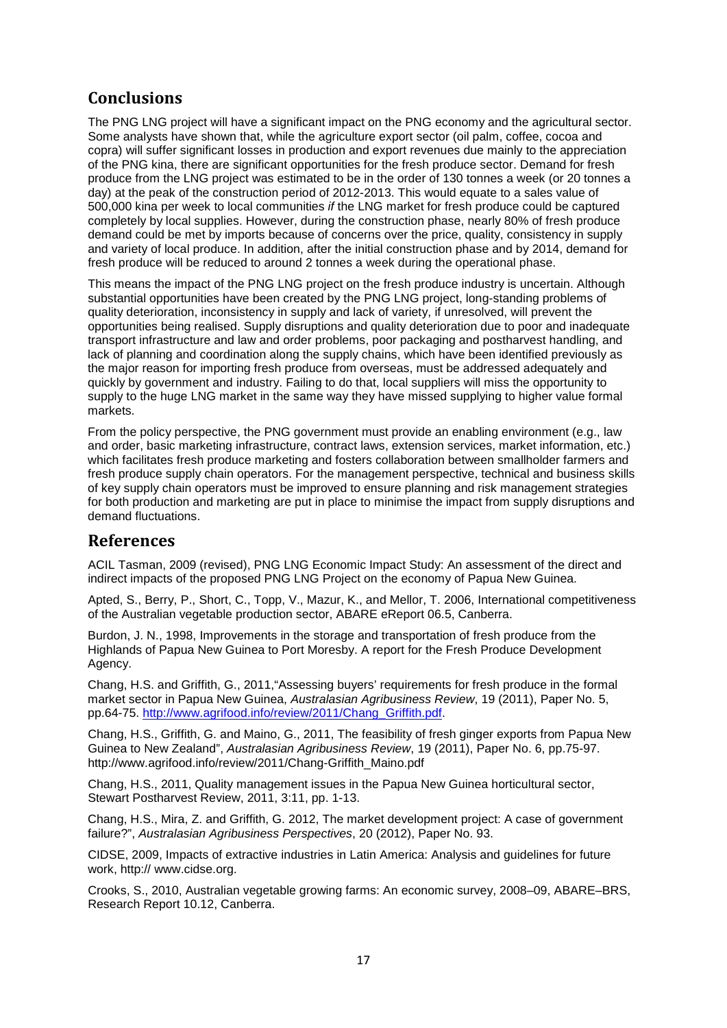## **Conclusions**

The PNG LNG project will have a significant impact on the PNG economy and the agricultural sector. Some analysts have shown that, while the agriculture export sector (oil palm, coffee, cocoa and copra) will suffer significant losses in production and export revenues due mainly to the appreciation of the PNG kina, there are significant opportunities for the fresh produce sector. Demand for fresh produce from the LNG project was estimated to be in the order of 130 tonnes a week (or 20 tonnes a day) at the peak of the construction period of 2012-2013. This would equate to a sales value of 500,000 kina per week to local communities *if* the LNG market for fresh produce could be captured completely by local supplies. However, during the construction phase, nearly 80% of fresh produce demand could be met by imports because of concerns over the price, quality, consistency in supply and variety of local produce. In addition, after the initial construction phase and by 2014, demand for fresh produce will be reduced to around 2 tonnes a week during the operational phase.

This means the impact of the PNG LNG project on the fresh produce industry is uncertain. Although substantial opportunities have been created by the PNG LNG project, long-standing problems of quality deterioration, inconsistency in supply and lack of variety, if unresolved, will prevent the opportunities being realised. Supply disruptions and quality deterioration due to poor and inadequate transport infrastructure and law and order problems, poor packaging and postharvest handling, and lack of planning and coordination along the supply chains, which have been identified previously as the major reason for importing fresh produce from overseas, must be addressed adequately and quickly by government and industry. Failing to do that, local suppliers will miss the opportunity to supply to the huge LNG market in the same way they have missed supplying to higher value formal markets.

From the policy perspective, the PNG government must provide an enabling environment (e.g., law and order, basic marketing infrastructure, contract laws, extension services, market information, etc.) which facilitates fresh produce marketing and fosters collaboration between smallholder farmers and fresh produce supply chain operators. For the management perspective, technical and business skills of key supply chain operators must be improved to ensure planning and risk management strategies for both production and marketing are put in place to minimise the impact from supply disruptions and demand fluctuations.

### **References**

ACIL Tasman, 2009 (revised), PNG LNG Economic Impact Study: An assessment of the direct and indirect impacts of the proposed PNG LNG Project on the economy of Papua New Guinea.

Apted, S., Berry, P., Short, C., Topp, V., Mazur, K., and Mellor, T. 2006, International competitiveness of the Australian vegetable production sector, ABARE eReport 06.5, Canberra.

Burdon, J. N., 1998, Improvements in the storage and transportation of fresh produce from the Highlands of Papua New Guinea to Port Moresby. A report for the Fresh Produce Development Agency.

Chang, H.S. and Griffith, G., 2011,"Assessing buyers' requirements for fresh produce in the formal market sector in Papua New Guinea, *Australasian Agribusiness Review*, 19 (2011), Paper No. 5, pp.64-75. [http://www.agrifood.info/review/2011/Chang\\_Griffith.pdf.](http://www.agrifood.info/review/2011/Chang_Griffith.pdf)

Chang, H.S., Griffith, G. and Maino, G., 2011, The feasibility of fresh ginger exports from Papua New Guinea to New Zealand", *Australasian Agribusiness Review*, 19 (2011), Paper No. 6, pp.75-97. http://www.agrifood.info/review/2011/Chang-Griffith\_Maino.pdf

Chang, H.S., 2011, Quality management issues in the Papua New Guinea horticultural sector, Stewart Postharvest Review, 2011, 3:11, pp. 1-13.

Chang, H.S., Mira, Z. and Griffith, G. 2012, The market development project: A case of government failure?", *Australasian Agribusiness Perspectives*, 20 (2012), Paper No. 93.

CIDSE, 2009, Impacts of extractive industries in Latin America: Analysis and guidelines for future work, http:// www.cidse.org.

Crooks, S., 2010, Australian vegetable growing farms: An economic survey, 2008–09, ABARE–BRS, Research Report 10.12, Canberra.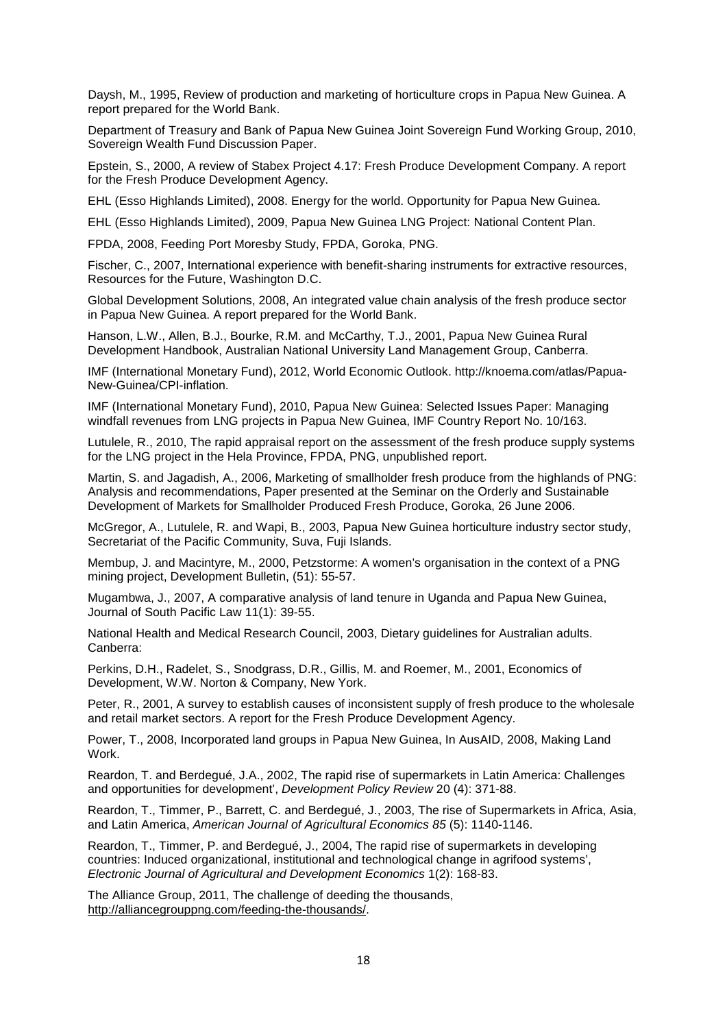Daysh, M., 1995, Review of production and marketing of horticulture crops in Papua New Guinea. A report prepared for the World Bank.

Department of Treasury and Bank of Papua New Guinea Joint Sovereign Fund Working Group, 2010, Sovereign Wealth Fund Discussion Paper.

Epstein, S., 2000, A review of Stabex Project 4.17: Fresh Produce Development Company. A report for the Fresh Produce Development Agency.

EHL (Esso Highlands Limited), 2008. Energy for the world. Opportunity for Papua New Guinea.

EHL (Esso Highlands Limited), 2009, Papua New Guinea LNG Project: National Content Plan.

FPDA, 2008, Feeding Port Moresby Study, FPDA, Goroka, PNG.

Fischer, C., 2007, International experience with benefit-sharing instruments for extractive resources, Resources for the Future, Washington D.C.

Global Development Solutions, 2008, An integrated value chain analysis of the fresh produce sector in Papua New Guinea. A report prepared for the World Bank.

Hanson, L.W., Allen, B.J., Bourke, R.M. and McCarthy, T.J., 2001, Papua New Guinea Rural Development Handbook, Australian National University Land Management Group, Canberra.

IMF (International Monetary Fund), 2012, World Economic Outlook. http://knoema.com/atlas/Papua-New-Guinea/CPI-inflation.

IMF (International Monetary Fund), 2010, Papua New Guinea: Selected Issues Paper: Managing windfall revenues from LNG projects in Papua New Guinea, IMF Country Report No. 10/163.

Lutulele, R., 2010, The rapid appraisal report on the assessment of the fresh produce supply systems for the LNG project in the Hela Province, FPDA, PNG, unpublished report.

Martin, S. and Jagadish, A., 2006, Marketing of smallholder fresh produce from the highlands of PNG: Analysis and recommendations, Paper presented at the Seminar on the Orderly and Sustainable Development of Markets for Smallholder Produced Fresh Produce, Goroka, 26 June 2006.

McGregor, A., Lutulele, R. and Wapi, B., 2003, Papua New Guinea horticulture industry sector study, Secretariat of the Pacific Community, Suva, Fuji Islands.

Membup, J. and Macintyre, M., 2000, Petzstorme: A women's organisation in the context of a PNG mining project, Development Bulletin, (51): 55-57.

Mugambwa, J., 2007, A comparative analysis of land tenure in Uganda and Papua New Guinea, Journal of South Pacific Law 11(1): 39-55.

National Health and Medical Research Council, 2003, Dietary guidelines for Australian adults. Canberra:

Perkins, D.H., Radelet, S., Snodgrass, D.R., Gillis, M. and Roemer, M., 2001, Economics of Development, W.W. Norton & Company, New York.

Peter, R., 2001, A survey to establish causes of inconsistent supply of fresh produce to the wholesale and retail market sectors. A report for the Fresh Produce Development Agency.

Power, T., 2008, Incorporated land groups in Papua New Guinea, In AusAID, 2008, Making Land Work.

Reardon, T. and Berdegué, J.A., 2002, The rapid rise of supermarkets in Latin America: Challenges and opportunities for development', *Development Policy Review* 20 (4): 371-88.

Reardon, T., Timmer, P., Barrett, C. and Berdegué, J., 2003, The rise of Supermarkets in Africa, Asia, and Latin America, *American Journal of Agricultural Economics 85* (5): 1140-1146.

Reardon, T., Timmer, P. and Berdegué, J., 2004, The rapid rise of supermarkets in developing countries: Induced organizational, institutional and technological change in agrifood systems', *Electronic Journal of Agricultural and Development Economics* 1(2): 168-83.

The Alliance Group, 2011, The challenge of deeding the thousands, [http://alliancegrouppng.com/feeding-the-thousands/.](http://alliancegrouppng.com/feeding-the-thousands/)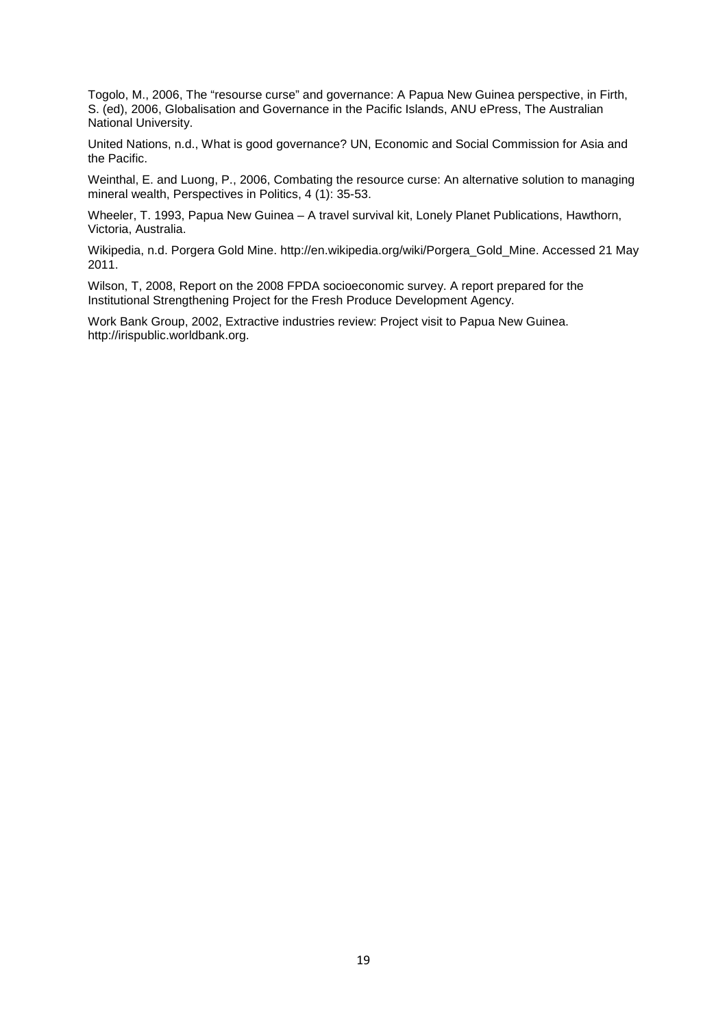Togolo, M., 2006, The "resourse curse" and governance: A Papua New Guinea perspective, in Firth, S. (ed), 2006, Globalisation and Governance in the Pacific Islands, ANU ePress, The Australian National University.

United Nations, n.d., What is good governance? UN, Economic and Social Commission for Asia and the Pacific.

Weinthal, E. and Luong, P., 2006, Combating the resource curse: An alternative solution to managing mineral wealth, Perspectives in Politics, 4 (1): 35-53.

Wheeler, T. 1993, Papua New Guinea – A travel survival kit, Lonely Planet Publications, Hawthorn, Victoria, Australia.

Wikipedia, n.d. Porgera Gold Mine. http://en.wikipedia.org/wiki/Porgera\_Gold\_Mine. Accessed 21 May 2011.

Wilson, T, 2008, Report on the 2008 FPDA socioeconomic survey. A report prepared for the Institutional Strengthening Project for the Fresh Produce Development Agency.

Work Bank Group, 2002, Extractive industries review: Project visit to Papua New Guinea. http://irispublic.worldbank.org.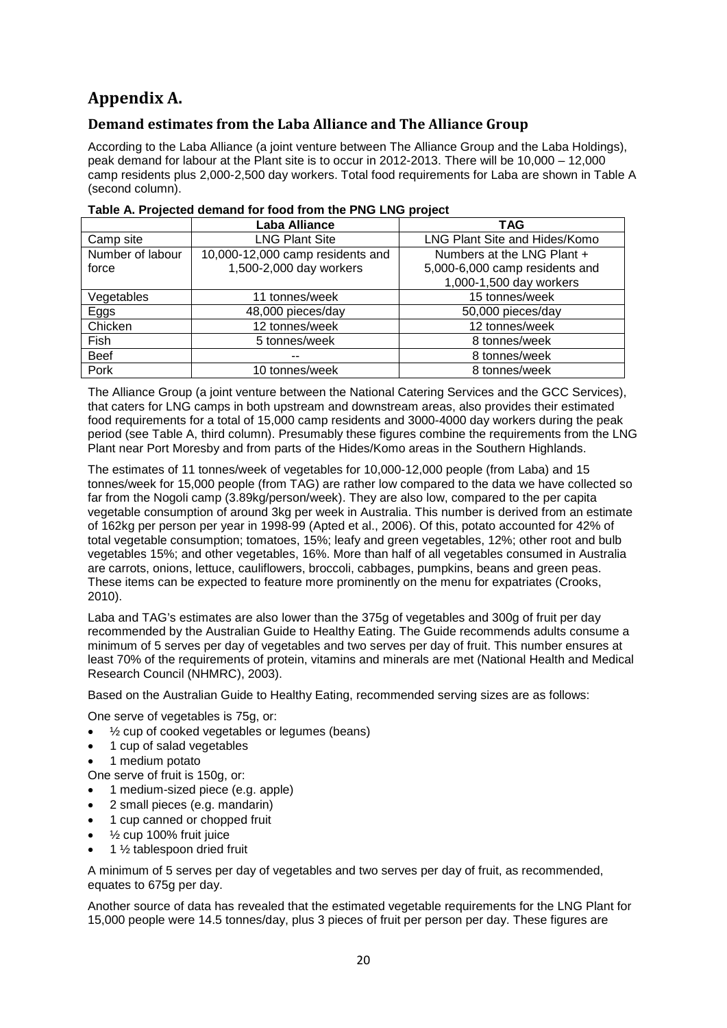# **Appendix A.**

### **Demand estimates from the Laba Alliance and The Alliance Group**

According to the Laba Alliance (a joint venture between The Alliance Group and the Laba Holdings), peak demand for labour at the Plant site is to occur in 2012-2013. There will be 10,000 – 12,000 camp residents plus 2,000-2,500 day workers. Total food requirements for Laba are shown in Table A (second column).

|                  | Laba Alliance                    | <b>TAG</b>                     |
|------------------|----------------------------------|--------------------------------|
| Camp site        | <b>LNG Plant Site</b>            | LNG Plant Site and Hides/Komo  |
| Number of labour | 10,000-12,000 camp residents and | Numbers at the LNG Plant +     |
| force            | 1,500-2,000 day workers          | 5,000-6,000 camp residents and |
|                  |                                  | 1,000-1,500 day workers        |
| Vegetables       | 11 tonnes/week                   | 15 tonnes/week                 |
| Eggs             | 48,000 pieces/day                | 50,000 pieces/day              |
| Chicken          | 12 tonnes/week                   | 12 tonnes/week                 |
| Fish             | 5 tonnes/week                    | 8 tonnes/week                  |
| <b>Beef</b>      | --                               | 8 tonnes/week                  |
| Pork             | 10 tonnes/week                   | 8 tonnes/week                  |

| Table A. Projected demand for food from the PNG LNG project |  |
|-------------------------------------------------------------|--|
|-------------------------------------------------------------|--|

The Alliance Group (a joint venture between the National Catering Services and the GCC Services), that caters for LNG camps in both upstream and downstream areas, also provides their estimated food requirements for a total of 15,000 camp residents and 3000-4000 day workers during the peak period (see Table A, third column). Presumably these figures combine the requirements from the LNG Plant near Port Moresby and from parts of the Hides/Komo areas in the Southern Highlands.

The estimates of 11 tonnes/week of vegetables for 10,000-12,000 people (from Laba) and 15 tonnes/week for 15,000 people (from TAG) are rather low compared to the data we have collected so far from the Nogoli camp (3.89kg/person/week). They are also low, compared to the per capita vegetable consumption of around 3kg per week in Australia. This number is derived from an estimate of 162kg per person per year in 1998-99 (Apted et al., 2006). Of this, potato accounted for 42% of total vegetable consumption; tomatoes, 15%; leafy and green vegetables, 12%; other root and bulb vegetables 15%; and other vegetables, 16%. More than half of all vegetables consumed in Australia are carrots, onions, lettuce, cauliflowers, broccoli, cabbages, pumpkins, beans and green peas. These items can be expected to feature more prominently on the menu for expatriates (Crooks, 2010).

Laba and TAG's estimates are also lower than the 375g of vegetables and 300g of fruit per day recommended by the Australian Guide to Healthy Eating. The Guide recommends adults consume a minimum of 5 serves per day of vegetables and two serves per day of fruit. This number ensures at least 70% of the requirements of protein, vitamins and minerals are met (National Health and Medical Research Council (NHMRC), 2003).

Based on the Australian Guide to Healthy Eating, recommended serving sizes are as follows:

One serve of vegetables is 75g, or:

- $\frac{1}{2}$  cup of cooked vegetables or legumes (beans)
- 1 cup of salad vegetables
- 1 medium potato

One serve of fruit is 150g, or:

- 1 medium-sized piece (e.g. apple)
- 2 small pieces (e.g. mandarin)
- 1 cup canned or chopped fruit
- $\frac{1}{2}$  cup 100% fruit juice
- 1 ½ tablespoon dried fruit

A minimum of 5 serves per day of vegetables and two serves per day of fruit, as recommended, equates to 675g per day.

Another source of data has revealed that the estimated vegetable requirements for the LNG Plant for 15,000 people were 14.5 tonnes/day, plus 3 pieces of fruit per person per day. These figures are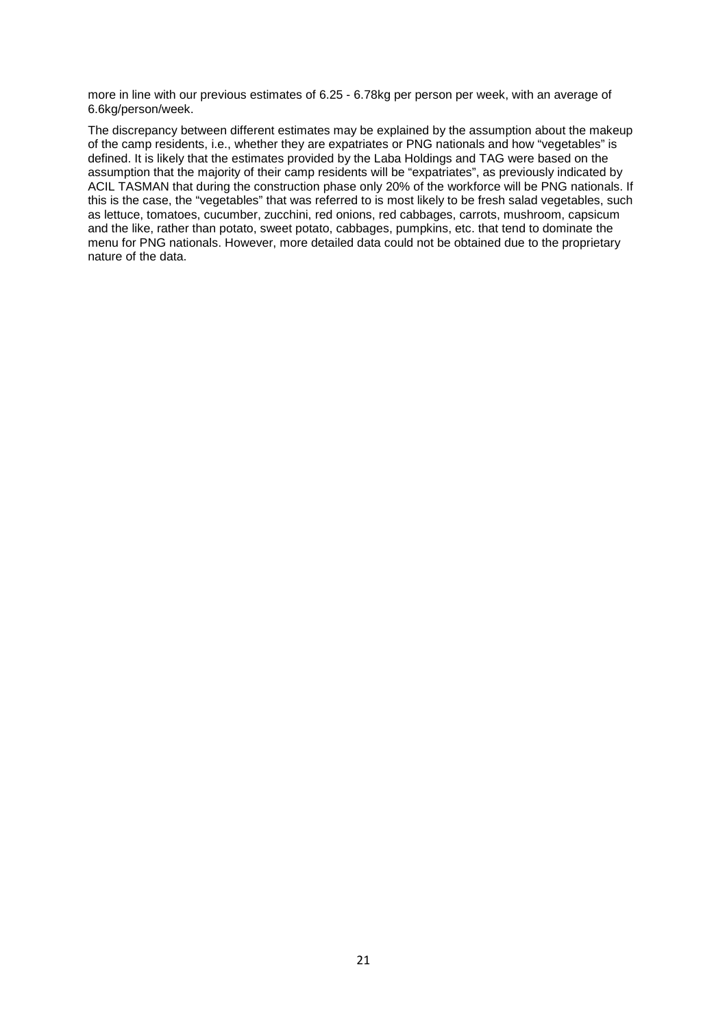more in line with our previous estimates of 6.25 - 6.78kg per person per week, with an average of 6.6kg/person/week.

The discrepancy between different estimates may be explained by the assumption about the makeup of the camp residents, i.e., whether they are expatriates or PNG nationals and how "vegetables" is defined. It is likely that the estimates provided by the Laba Holdings and TAG were based on the assumption that the majority of their camp residents will be "expatriates", as previously indicated by ACIL TASMAN that during the construction phase only 20% of the workforce will be PNG nationals. If this is the case, the "vegetables" that was referred to is most likely to be fresh salad vegetables, such as lettuce, tomatoes, cucumber, zucchini, red onions, red cabbages, carrots, mushroom, capsicum and the like, rather than potato, sweet potato, cabbages, pumpkins, etc. that tend to dominate the menu for PNG nationals. However, more detailed data could not be obtained due to the proprietary nature of the data.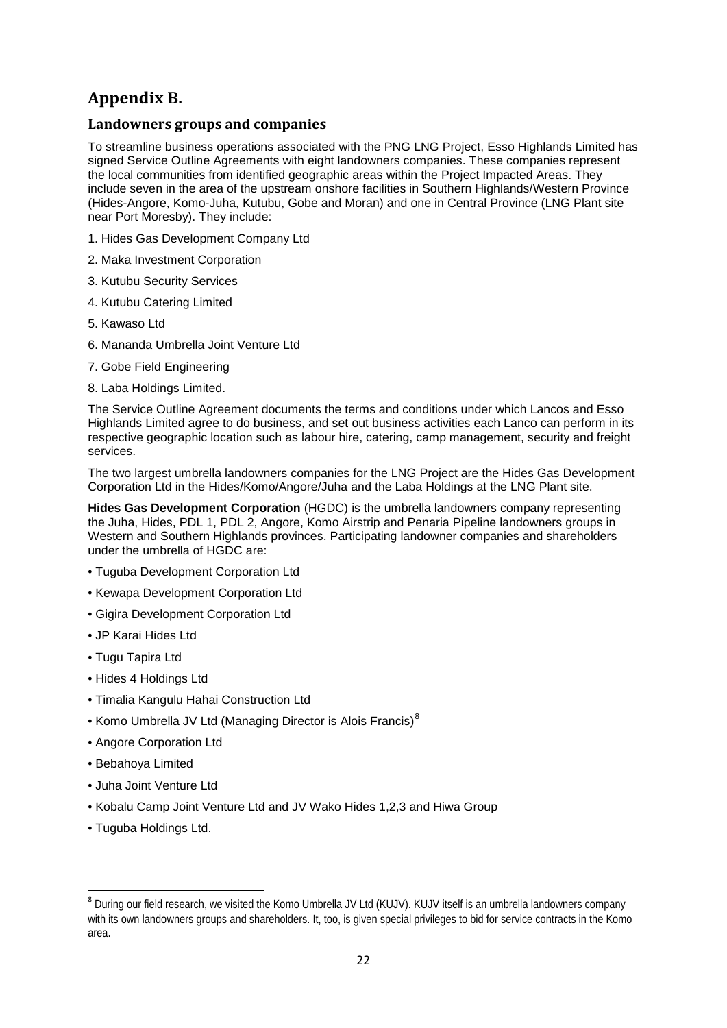# **Appendix B.**

### **Landowners groups and companies**

To streamline business operations associated with the PNG LNG Project, Esso Highlands Limited has signed Service Outline Agreements with eight landowners companies. These companies represent the local communities from identified geographic areas within the Project Impacted Areas. They include seven in the area of the upstream onshore facilities in Southern Highlands/Western Province (Hides-Angore, Komo-Juha, Kutubu, Gobe and Moran) and one in Central Province (LNG Plant site near Port Moresby). They include:

- 1. Hides Gas Development Company Ltd
- 2. Maka Investment Corporation
- 3. Kutubu Security Services
- 4. Kutubu Catering Limited
- 5. Kawaso Ltd
- 6. Mananda Umbrella Joint Venture Ltd
- 7. Gobe Field Engineering
- 8. Laba Holdings Limited.

The Service Outline Agreement documents the terms and conditions under which Lancos and Esso Highlands Limited agree to do business, and set out business activities each Lanco can perform in its respective geographic location such as labour hire, catering, camp management, security and freight services.

The two largest umbrella landowners companies for the LNG Project are the Hides Gas Development Corporation Ltd in the Hides/Komo/Angore/Juha and the Laba Holdings at the LNG Plant site.

**Hides Gas Development Corporation** (HGDC) is the umbrella landowners company representing the Juha, Hides, PDL 1, PDL 2, Angore, Komo Airstrip and Penaria Pipeline landowners groups in Western and Southern Highlands provinces. Participating landowner companies and shareholders under the umbrella of HGDC are:

- Tuguba Development Corporation Ltd
- Kewapa Development Corporation Ltd
- Gigira Development Corporation Ltd
- JP Karai Hides Ltd
- Tugu Tapira Ltd
- Hides 4 Holdings Ltd
- Timalia Kangulu Hahai Construction Ltd
- Komo Umbrella JV Ltd (Managing Director is Alois Francis)<sup>[8](#page-13-1)</sup>
- Angore Corporation Ltd
- Bebahoya Limited
- Juha Joint Venture Ltd
- Kobalu Camp Joint Venture Ltd and JV Wako Hides 1,2,3 and Hiwa Group
- Tuguba Holdings Ltd.

<sup>&</sup>lt;sup>8</sup> During our field research, we visited the Komo Umbrella JV Ltd (KUJV). KUJV itself is an umbrella landowners company with its own landowners groups and shareholders. It, too, is given special privileges to bid for service contracts in the Komo area.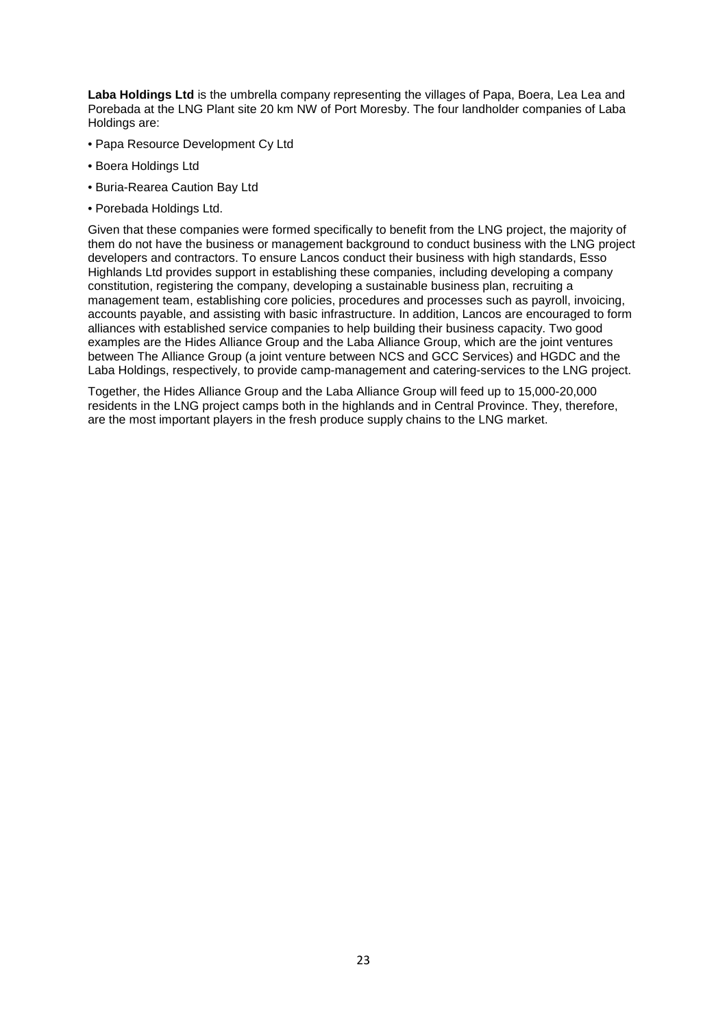**Laba Holdings Ltd** is the umbrella company representing the villages of Papa, Boera, Lea Lea and Porebada at the LNG Plant site 20 km NW of Port Moresby. The four landholder companies of Laba Holdings are:

- Papa Resource Development Cy Ltd
- Boera Holdings Ltd
- Buria-Rearea Caution Bay Ltd
- Porebada Holdings Ltd.

Given that these companies were formed specifically to benefit from the LNG project, the majority of them do not have the business or management background to conduct business with the LNG project developers and contractors. To ensure Lancos conduct their business with high standards, Esso Highlands Ltd provides support in establishing these companies, including developing a company constitution, registering the company, developing a sustainable business plan, recruiting a management team, establishing core policies, procedures and processes such as payroll, invoicing, accounts payable, and assisting with basic infrastructure. In addition, Lancos are encouraged to form alliances with established service companies to help building their business capacity. Two good examples are the Hides Alliance Group and the Laba Alliance Group, which are the joint ventures between The Alliance Group (a joint venture between NCS and GCC Services) and HGDC and the Laba Holdings, respectively, to provide camp-management and catering-services to the LNG project.

Together, the Hides Alliance Group and the Laba Alliance Group will feed up to 15,000-20,000 residents in the LNG project camps both in the highlands and in Central Province. They, therefore, are the most important players in the fresh produce supply chains to the LNG market.